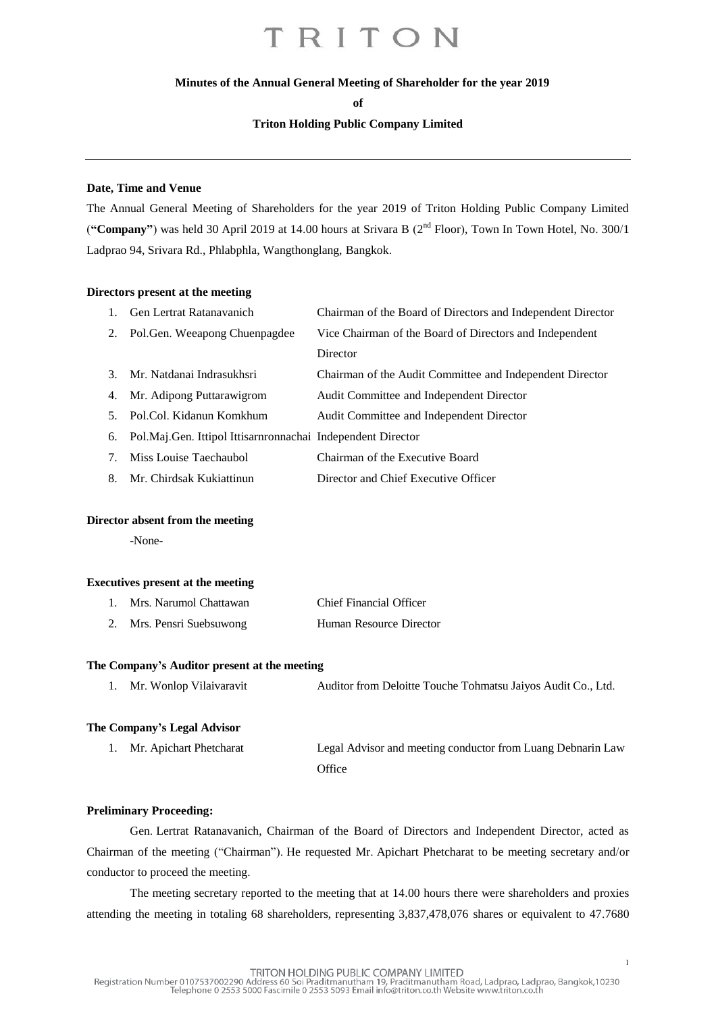#### **Minutes of the Annual General Meeting of Shareholder for the year 2019**

**of**

#### **Triton Holding Public Company Limited**

#### **Date, Time and Venue**

The Annual General Meeting of Shareholders for the year 2019 of Triton Holding Public Company Limited ("Company") was held 30 April 2019 at 14.00 hours at Srivara B (2<sup>nd</sup> Floor), Town In Town Hotel, No. 300/1 Ladprao 94, Srivara Rd., Phlabphla, Wangthonglang, Bangkok.

#### **Directors present at the meeting**

|                                  | Gen Lertrat Ratanavanich                                       | Chairman of the Board of Directors and Independent Director |
|----------------------------------|----------------------------------------------------------------|-------------------------------------------------------------|
|                                  | 2. Pol. Gen. Weeapong Chuenpagdee                              | Vice Chairman of the Board of Directors and Independent     |
|                                  |                                                                | Director                                                    |
|                                  | 3. Mr. Natdanai Indrasukhsri                                   | Chairman of the Audit Committee and Independent Director    |
|                                  | 4. Mr. Adipong Puttarawigrom                                   | Audit Committee and Independent Director                    |
|                                  | 5. Pol.Col. Kidanun Komkhum                                    | Audit Committee and Independent Director                    |
|                                  | 6. Pol.Maj.Gen. Ittipol Ittisarnronnachai Independent Director |                                                             |
| $7_{\scriptscriptstyle{\ddots}}$ | Miss Louise Taechaubol                                         | Chairman of the Executive Board                             |
|                                  | 8. Mr. Chirdsak Kukiattinun                                    | Director and Chief Executive Officer                        |
|                                  |                                                                |                                                             |

#### **Director absent from the meeting**

-None-

#### **Executives present at the meeting**

| Mrs. Narumol Chattawan | <b>Chief Financial Officer</b> |
|------------------------|--------------------------------|
| Mrs. Pensri Suebsuwong | Human Resource Director        |

#### **The Company's Auditor present at the meeting**

|  | Mr. Wonlop Vilaivaravit | Auditor from Deloitte Touche Tohmatsu Jaiyos Audit Co., Ltd. |
|--|-------------------------|--------------------------------------------------------------|
|--|-------------------------|--------------------------------------------------------------|

#### **The Company's Legal Advisor**

| 1. Mr. Apichart Phetcharat | Legal Advisor and meeting conductor from Luang Debnarin Law |
|----------------------------|-------------------------------------------------------------|
|                            | Office                                                      |

#### **Preliminary Proceeding:**

Gen. Lertrat Ratanavanich, Chairman of the Board of Directors and Independent Director, acted as Chairman of the meeting ("Chairman"). He requested Mr. Apichart Phetcharat to be meeting secretary and/or conductor to proceed the meeting.

The meeting secretary reported to the meeting that at 14.00 hours there were shareholders and proxies attending the meeting in totaling 68 shareholders, representing 3,837,478,076 shares or equivalent to 47.7680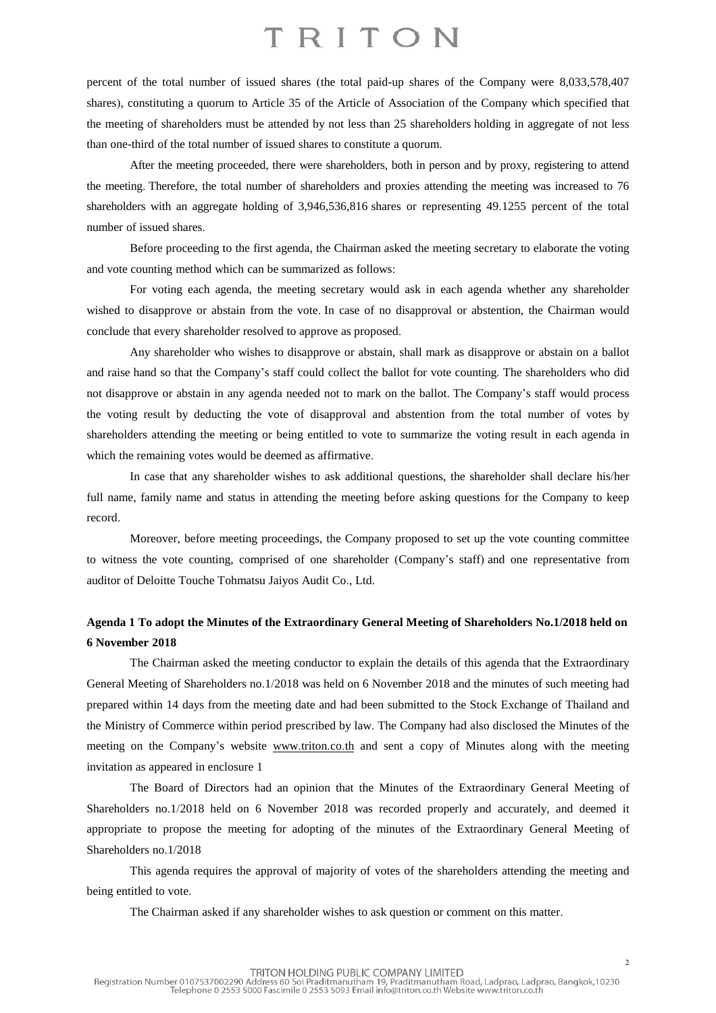percent of the total number of issued shares (the total paid-up shares of the Company were 8,033,578,407 shares), constituting a quorum to Article 35 of the Article of Association of the Company which specified that the meeting of shareholders must be attended by not less than 25 shareholders holding in aggregate of not less than one-third of the total number of issued shares to constitute a quorum.

After the meeting proceeded, there were shareholders, both in person and by proxy, registering to attend the meeting. Therefore, the total number of shareholders and proxies attending the meeting was increased to 76 shareholders with an aggregate holding of 3,946,536,816 shares or representing 49.1255 percent of the total number of issued shares.

Before proceeding to the first agenda, the Chairman asked the meeting secretary to elaborate the voting and vote counting method which can be summarized as follows:

For voting each agenda, the meeting secretary would ask in each agenda whether any shareholder wished to disapprove or abstain from the vote. In case of no disapproval or abstention, the Chairman would conclude that every shareholder resolved to approve as proposed.

Any shareholder who wishes to disapprove or abstain, shall mark as disapprove or abstain on a ballot and raise hand so that the Company's staff could collect the ballot for vote counting. The shareholders who did not disapprove or abstain in any agenda needed not to mark on the ballot. The Company's staff would process the voting result by deducting the vote of disapproval and abstention from the total number of votes by shareholders attending the meeting or being entitled to vote to summarize the voting result in each agenda in which the remaining votes would be deemed as affirmative.

In case that any shareholder wishes to ask additional questions, the shareholder shall declare his/her full name, family name and status in attending the meeting before asking questions for the Company to keep record.

Moreover, before meeting proceedings, the Company proposed to set up the vote counting committee to witness the vote counting, comprised of one shareholder (Company's staff) and one representative from auditor of Deloitte Touche Tohmatsu Jaiyos Audit Co., Ltd.

### **Agenda 1 To adopt the Minutes of the Extraordinary General Meeting of Shareholders No.1/2018 held on 6 November 2018**

The Chairman asked the meeting conductor to explain the details of this agenda that the Extraordinary General Meeting of Shareholders no.1/2018 was held on 6 November 2018 and the minutes of such meeting had prepared within 14 days from the meeting date and had been submitted to the Stock Exchange of Thailand and the Ministry of Commerce within period prescribed by law. The Company had also disclosed the Minutes of the meeting on the Company's website [www.triton.co.th](http://www.triton.co.th/) and sent a copy of Minutes along with the meeting invitation as appeared in enclosure 1

The Board of Directors had an opinion that the Minutes of the Extraordinary General Meeting of Shareholders no.1/2018 held on 6 November 2018 was recorded properly and accurately, and deemed it appropriate to propose the meeting for adopting of the minutes of the Extraordinary General Meeting of Shareholders no.1/2018

This agenda requires the approval of majority of votes of the shareholders attending the meeting and being entitled to vote.

The Chairman asked if any shareholder wishes to ask question or comment on this matter.

2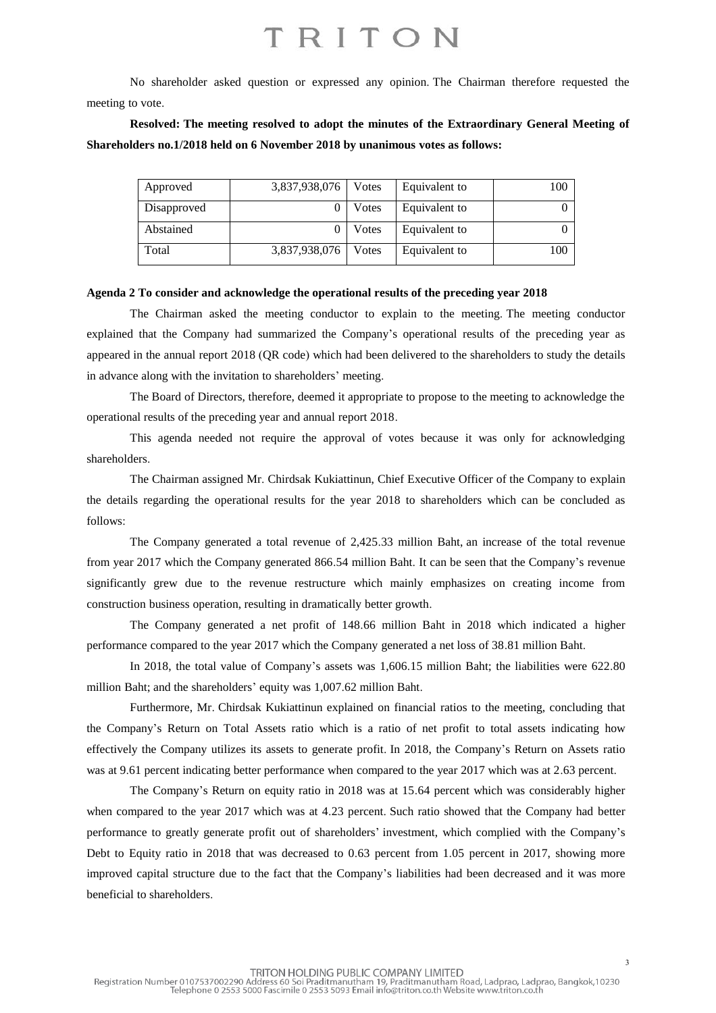No shareholder asked question or expressed any opinion. The Chairman therefore requested the meeting to vote.

**Resolved: The meeting resolved to adopt the minutes of the Extraordinary General Meeting of Shareholders no.1/2018 held on 6 November 2018 by unanimous votes as follows:**

| Approved    | 3,837,938,076 | Votes | Equivalent to | 100 |
|-------------|---------------|-------|---------------|-----|
| Disapproved |               | Votes | Equivalent to |     |
| Abstained   |               | Votes | Equivalent to |     |
| Total       | 3,837,938,076 | Votes | Equivalent to | 100 |

#### **Agenda 2 To consider and acknowledge the operational results of the preceding year 2018**

The Chairman asked the meeting conductor to explain to the meeting. The meeting conductor explained that the Company had summarized the Company's operational results of the preceding year as appeared in the annual report 2018 (QR code) which had been delivered to the shareholders to study the details in advance along with the invitation to shareholders' meeting.

The Board of Directors, therefore, deemed it appropriate to propose to the meeting to acknowledge the operational results of the preceding year and annual report 2018.

This agenda needed not require the approval of votes because it was only for acknowledging shareholders.

The Chairman assigned Mr. Chirdsak Kukiattinun, Chief Executive Officer of the Company to explain the details regarding the operational results for the year 2018 to shareholders which can be concluded as follows:

The Company generated a total revenue of 2,425.33 million Baht, an increase of the total revenue from year 2017 which the Company generated 866.54 million Baht. It can be seen that the Company's revenue significantly grew due to the revenue restructure which mainly emphasizes on creating income from construction business operation, resulting in dramatically better growth.

The Company generated a net profit of 148.66 million Baht in 2018 which indicated a higher performance compared to the year 2017 which the Company generated a net loss of 38.81 million Baht.

In 2018, the total value of Company's assets was 1,606.15 million Baht; the liabilities were 622.80 million Baht; and the shareholders' equity was 1,007.62 million Baht.

Furthermore, Mr. Chirdsak Kukiattinun explained on financial ratios to the meeting, concluding that the Company's Return on Total Assets ratio which is a ratio of net profit to total assets indicating how effectively the Company utilizes its assets to generate profit. In 2018, the Company's Return on Assets ratio was at 9.61 percent indicating better performance when compared to the year 2017 which was at 2.63 percent.

The Company's Return on equity ratio in 2018 was at 15.64 percent which was considerably higher when compared to the year 2017 which was at 4.23 percent. Such ratio showed that the Company had better performance to greatly generate profit out of shareholders' investment, which complied with the Company's Debt to Equity ratio in 2018 that was decreased to 0.63 percent from 1.05 percent in 2017, showing more improved capital structure due to the fact that the Company's liabilities had been decreased and it was more beneficial to shareholders.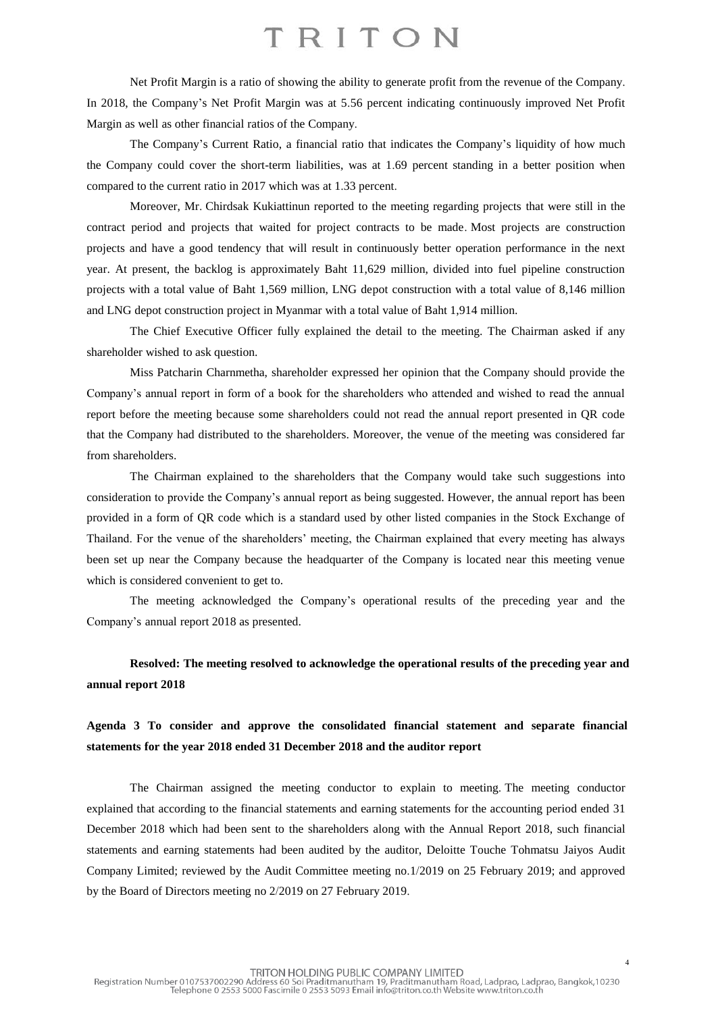Net Profit Margin is a ratio of showing the ability to generate profit from the revenue of the Company. In 2018, the Company's Net Profit Margin was at 5.56 percent indicating continuously improved Net Profit Margin as well as other financial ratios of the Company.

The Company's Current Ratio, a financial ratio that indicates the Company's liquidity of how much the Company could cover the short-term liabilities, was at 1.69 percent standing in a better position when compared to the current ratio in 2017 which was at 1.33 percent.

Moreover, Mr. Chirdsak Kukiattinun reported to the meeting regarding projects that were still in the contract period and projects that waited for project contracts to be made. Most projects are construction projects and have a good tendency that will result in continuously better operation performance in the next year. At present, the backlog is approximately Baht 11,629 million, divided into fuel pipeline construction projects with a total value of Baht 1,569 million, LNG depot construction with a total value of 8,146 million and LNG depot construction project in Myanmar with a total value of Baht 1,914 million.

The Chief Executive Officer fully explained the detail to the meeting. The Chairman asked if any shareholder wished to ask question.

Miss Patcharin Charnmetha, shareholder expressed her opinion that the Company should provide the Company's annual report in form of a book for the shareholders who attended and wished to read the annual report before the meeting because some shareholders could not read the annual report presented in QR code that the Company had distributed to the shareholders. Moreover, the venue of the meeting was considered far from shareholders.

The Chairman explained to the shareholders that the Company would take such suggestions into consideration to provide the Company's annual report as being suggested. However, the annual report has been provided in a form of QR code which is a standard used by other listed companies in the Stock Exchange of Thailand. For the venue of the shareholders' meeting, the Chairman explained that every meeting has always been set up near the Company because the headquarter of the Company is located near this meeting venue which is considered convenient to get to.

The meeting acknowledged the Company's operational results of the preceding year and the Company's annual report 2018 as presented.

### **Resolved: The meeting resolved to acknowledge the operational results of the preceding year and annual report 2018**

### **Agenda 3 To consider and approve the consolidated financial statement and separate financial statements for the year 2018 ended 31 December 2018 and the auditor report**

The Chairman assigned the meeting conductor to explain to meeting. The meeting conductor explained that according to the financial statements and earning statements for the accounting period ended 31 December 2018 which had been sent to the shareholders along with the Annual Report 2018, such financial statements and earning statements had been audited by the auditor, Deloitte Touche Tohmatsu Jaiyos Audit Company Limited; reviewed by the Audit Committee meeting no.1/2019 on 25 February 2019; and approved by the Board of Directors meeting no 2/2019 on 27 February 2019.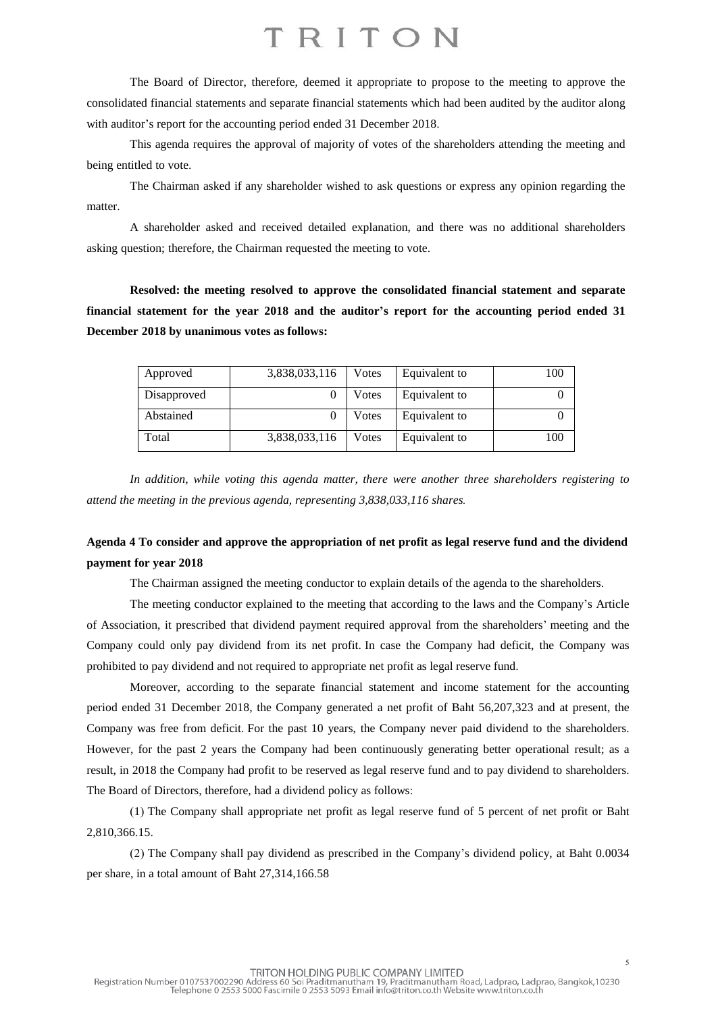The Board of Director, therefore, deemed it appropriate to propose to the meeting to approve the consolidated financial statements and separate financial statements which had been audited by the auditor along with auditor's report for the accounting period ended 31 December 2018.

This agenda requires the approval of majority of votes of the shareholders attending the meeting and being entitled to vote.

The Chairman asked if any shareholder wished to ask questions or express any opinion regarding the matter.

A shareholder asked and received detailed explanation, and there was no additional shareholders asking question; therefore, the Chairman requested the meeting to vote.

**Resolved: the meeting resolved to approve the consolidated financial statement and separate financial statement for the year 2018 and the auditor's report for the accounting period ended 31 December 2018 by unanimous votes as follows:**

| Approved    | 3,838,033,116 | Votes | Equivalent to | 100 |
|-------------|---------------|-------|---------------|-----|
| Disapproved |               | Votes | Equivalent to |     |
| Abstained   |               | Votes | Equivalent to |     |
| Total       | 3,838,033,116 | Votes | Equivalent to | 100 |

*In addition, while voting this agenda matter, there were another three shareholders registering to attend the meeting in the previous agenda, representing 3,838,033,116 shares.*

### Agenda 4 To consider and approve the appropriation of net profit as legal reserve fund and the dividend **payment for year 2018**

The Chairman assigned the meeting conductor to explain details of the agenda to the shareholders.

The meeting conductor explained to the meeting that according to the laws and the Company's Article of Association, it prescribed that dividend payment required approval from the shareholders' meeting and the Company could only pay dividend from its net profit. In case the Company had deficit, the Company was prohibited to pay dividend and not required to appropriate net profit as legal reserve fund.

Moreover, according to the separate financial statement and income statement for the accounting period ended 31 December 2018, the Company generated a net profit of Baht 56,207,323 and at present, the Company was free from deficit. For the past 10 years, the Company never paid dividend to the shareholders. However, for the past 2 years the Company had been continuously generating better operational result; as a result, in 2018 the Company had profit to be reserved as legal reserve fund and to pay dividend to shareholders. The Board of Directors, therefore, had a dividend policy as follows:

(1) The Company shall appropriate net profit as legal reserve fund of 5 percent of net profit or Baht 2,810,366.15.

(2) The Company shall pay dividend as prescribed in the Company's dividend policy, at Baht 0.0034 per share, in a total amount of Baht 27,314,166.58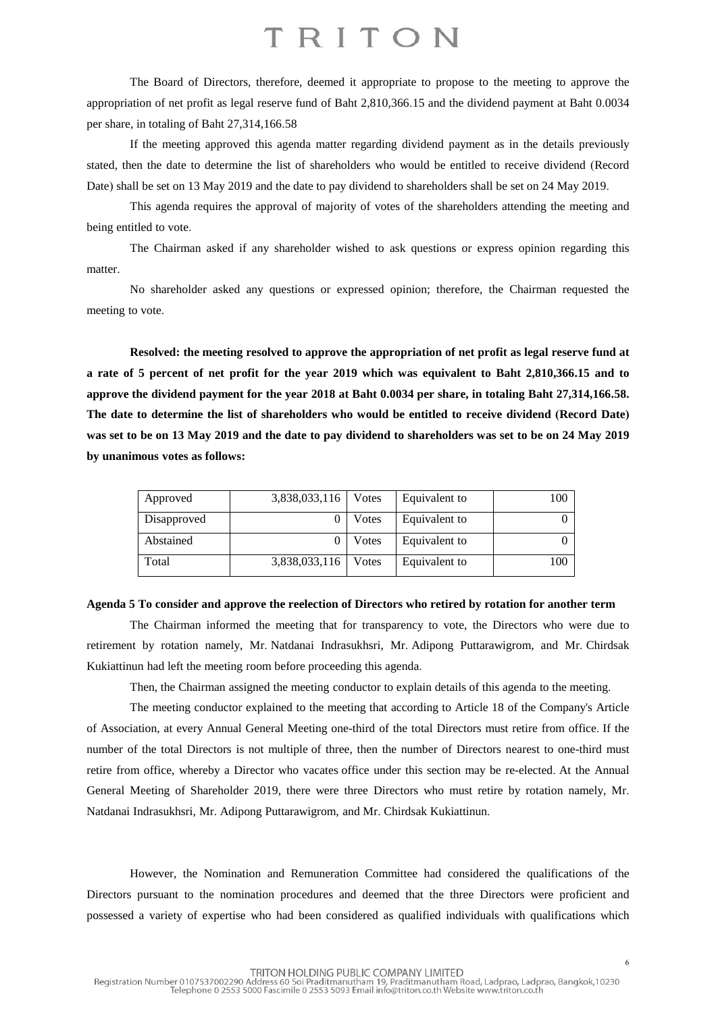The Board of Directors, therefore, deemed it appropriate to propose to the meeting to approve the appropriation of net profit as legal reserve fund of Baht 2,810,366.15 and the dividend payment at Baht 0.0034 per share, in totaling of Baht 27,314,166.58

If the meeting approved this agenda matter regarding dividend payment as in the details previously stated, then the date to determine the list of shareholders who would be entitled to receive dividend (Record Date) shall be set on 13 May 2019 and the date to pay dividend to shareholders shall be set on 24 May 2019.

This agenda requires the approval of majority of votes of the shareholders attending the meeting and being entitled to vote.

The Chairman asked if any shareholder wished to ask questions or express opinion regarding this matter.

No shareholder asked any questions or expressed opinion; therefore, the Chairman requested the meeting to vote.

**Resolved: the meeting resolved to approve the appropriation of net profit as legal reserve fund at** a rate of 5 percent of net profit for the year 2019 which was equivalent to Baht 2,810,366.15 and to **approve the dividend payment for the year 2018 at Baht 0.0034 per share, in totaling Baht 27,314,166.58. The date to determine the list of shareholders who would be entitled to receive dividend (Record Date)** was set to be on 13 May 2019 and the date to pay dividend to shareholders was set to be on 24 May 2019 **by unanimous votes as follows:**

| Approved    | 3,838,033,116 | Votes | Equivalent to | 100 |
|-------------|---------------|-------|---------------|-----|
| Disapproved |               | Votes | Equivalent to |     |
| Abstained   |               | Votes | Equivalent to |     |
| Total       | 3,838,033,116 | Votes | Equivalent to | 100 |

#### **Agenda 5 To consider and approve the reelection of Directors who retired by rotation for another term**

The Chairman informed the meeting that for transparency to vote, the Directors who were due to retirement by rotation namely, Mr. Natdanai Indrasukhsri, Mr. Adipong Puttarawigrom, and Mr. Chirdsak Kukiattinun had left the meeting room before proceeding this agenda.

Then, the Chairman assigned the meeting conductor to explain details of this agenda to the meeting.

The meeting conductor explained to the meeting that according to Article 18 of the Company's Article of Association, at every Annual General Meeting one-third of the total Directors must retire from office. If the number of the total Directors is not multiple of three, then the number of Directors nearest to one-third must retire from office, whereby a Director who vacates office under this section may be re-elected. At the Annual General Meeting of Shareholder 2019, there were three Directors who must retire by rotation namely, Mr. Natdanai Indrasukhsri, Mr. Adipong Puttarawigrom, and Mr. Chirdsak Kukiattinun.

However, the Nomination and Remuneration Committee had considered the qualifications of the Directors pursuant to the nomination procedures and deemed that the three Directors were proficient and possessed a variety of expertise who had been considered as qualified individuals with qualifications which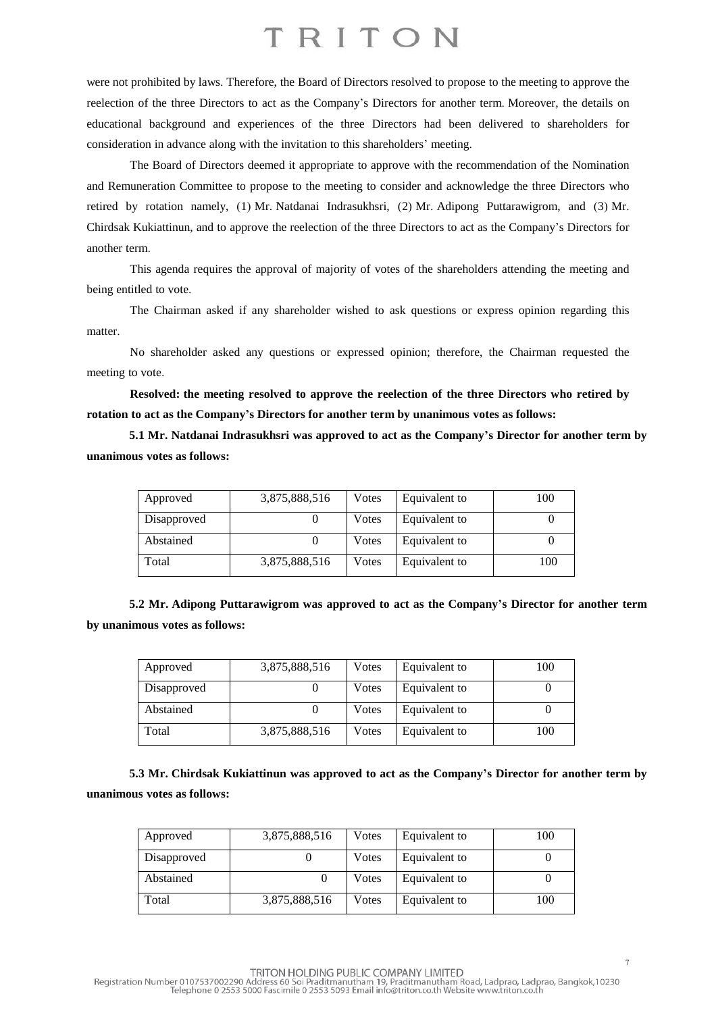were not prohibited by laws. Therefore, the Board of Directors resolved to propose to the meeting to approve the reelection of the three Directors to act as the Company's Directors for another term. Moreover, the details on educational background and experiences of the three Directors had been delivered to shareholders for consideration in advance along with the invitation to this shareholders' meeting.

The Board of Directors deemed it appropriate to approve with the recommendation of the Nomination and Remuneration Committee to propose to the meeting to consider and acknowledge the three Directors who retired by rotation namely, (1) Mr. Natdanai Indrasukhsri, (2) Mr. Adipong Puttarawigrom, and (3) Mr. Chirdsak Kukiattinun, and to approve the reelection of the three Directors to act as the Company's Directors for another term.

This agenda requires the approval of majority of votes of the shareholders attending the meeting and being entitled to vote.

The Chairman asked if any shareholder wished to ask questions or express opinion regarding this matter.

No shareholder asked any questions or expressed opinion; therefore, the Chairman requested the meeting to vote.

**Resolved: the meeting resolved to approve the reelection of the three Directors who retired by rotation to act as the Company's Directors for another term by unanimous votes as follows:**

**5.1 Mr. Natdanai Indrasukhsri was approved to act as the Company's Director for another term by unanimous votes as follows:**

| Approved    | 3,875,888,516 | Votes | Equivalent to | 100 |
|-------------|---------------|-------|---------------|-----|
| Disapproved |               | Votes | Equivalent to |     |
| Abstained   |               | Votes | Equivalent to |     |
| Total       | 3,875,888,516 | Votes | Equivalent to | 100 |

| 5.2 Mr. Adipong Puttarawigrom was approved to act as the Company's Director for another term |  |  |  |
|----------------------------------------------------------------------------------------------|--|--|--|
| by unanimous votes as follows:                                                               |  |  |  |

| Approved    | 3,875,888,516 | Votes | Equivalent to | 100 |
|-------------|---------------|-------|---------------|-----|
| Disapproved |               | Votes | Equivalent to |     |
| Abstained   |               | Votes | Equivalent to |     |
| Total       | 3,875,888,516 | Votes | Equivalent to | 100 |

**5.3 Mr. Chirdsak Kukiattinun was approved to act as the Company's Director for another term by unanimous votes as follows:**

| Approved    | 3,875,888,516 | Votes | Equivalent to | 100 |
|-------------|---------------|-------|---------------|-----|
| Disapproved |               | Votes | Equivalent to |     |
| Abstained   |               | Votes | Equivalent to |     |
| Total       | 3,875,888,516 | Votes | Equivalent to | 100 |

TRITON HOLDING PUBLIC COMPANY LIMITED<br>Registration Number 0107537002290 Address 60 Soi Praditmanutham 19, Praditmanutham Road, Ladprao, Ladprao, Bangkok,10230<br>Telephone 0 2553 5000 Fascimile 0 2553 5093 Email info@triton.c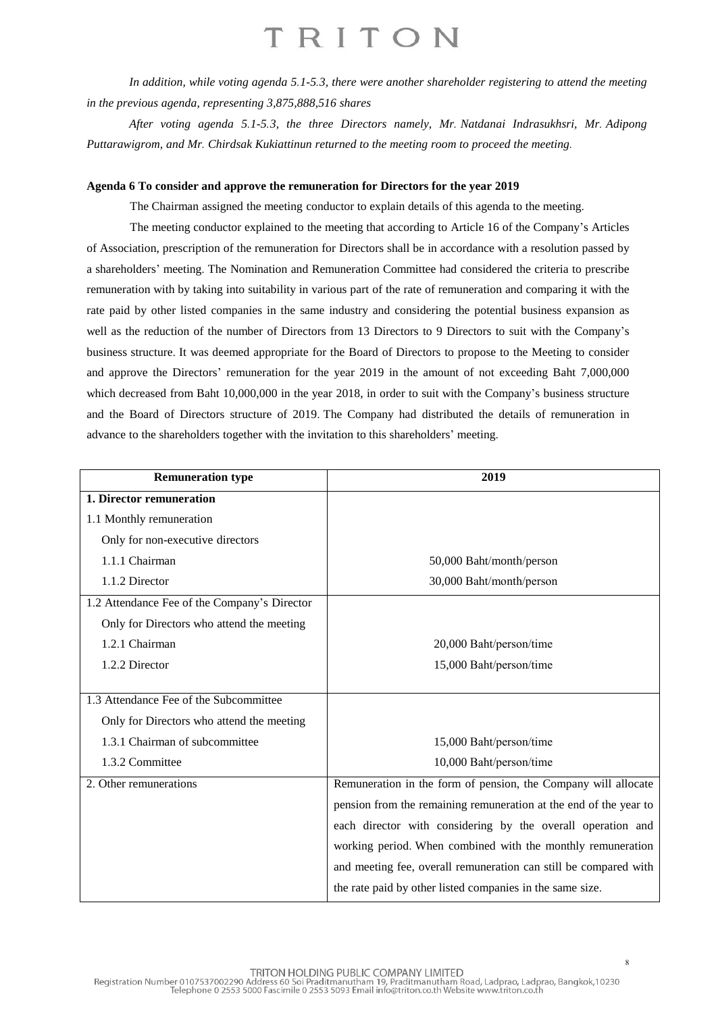*In addition, while voting agenda 5.1-5.3, there were another shareholder registering to attend the meeting in the previous agenda, representing 3,875,888,516 shares*

*After voting agenda 5.1-5.3, the three Directors namely, Mr. Natdanai Indrasukhsri, Mr. Adipong Puttarawigrom, and Mr. Chirdsak Kukiattinun returned to the meeting room to proceed the meeting.*

#### **Agenda 6 To consider and approve the remuneration for Directors for the year 2019**

The Chairman assigned the meeting conductor to explain details of this agenda to the meeting.

The meeting conductor explained to the meeting that according to Article 16 of the Company's Articles of Association, prescription of the remuneration for Directors shall be in accordance with a resolution passed by a shareholders' meeting. The Nomination and Remuneration Committee had considered the criteria to prescribe remuneration with by taking into suitability in various part of the rate of remuneration and comparing it with the rate paid by other listed companies in the same industry and considering the potential business expansion as well as the reduction of the number of Directors from 13 Directors to 9 Directors to suit with the Company's business structure. It was deemed appropriate for the Board of Directors to propose to the Meeting to consider and approve the Directors' remuneration for the year 2019 in the amount of not exceeding Baht 7,000,000 which decreased from Baht 10,000,000 in the year 2018, in order to suit with the Company's business structure and the Board of Directors structure of 2019. The Company had distributed the details of remuneration in advance to the shareholders together with the invitation to this shareholders' meeting.

| <b>Remuneration type</b>                     | 2019                                                              |
|----------------------------------------------|-------------------------------------------------------------------|
| 1. Director remuneration                     |                                                                   |
| 1.1 Monthly remuneration                     |                                                                   |
| Only for non-executive directors             |                                                                   |
| 1.1.1 Chairman                               | 50,000 Baht/month/person                                          |
| 1.1.2 Director                               | 30,000 Baht/month/person                                          |
| 1.2 Attendance Fee of the Company's Director |                                                                   |
| Only for Directors who attend the meeting    |                                                                   |
| 1.2.1 Chairman                               | 20,000 Baht/person/time                                           |
| 1.2.2 Director                               | 15,000 Baht/person/time                                           |
|                                              |                                                                   |
| 1.3 Attendance Fee of the Subcommittee       |                                                                   |
| Only for Directors who attend the meeting    |                                                                   |
| 1.3.1 Chairman of subcommittee               | 15,000 Baht/person/time                                           |
| 1.3.2 Committee                              | 10,000 Baht/person/time                                           |
| 2. Other remunerations                       | Remuneration in the form of pension, the Company will allocate    |
|                                              | pension from the remaining remuneration at the end of the year to |
|                                              | each director with considering by the overall operation and       |
|                                              | working period. When combined with the monthly remuneration       |
|                                              | and meeting fee, overall remuneration can still be compared with  |
|                                              | the rate paid by other listed companies in the same size.         |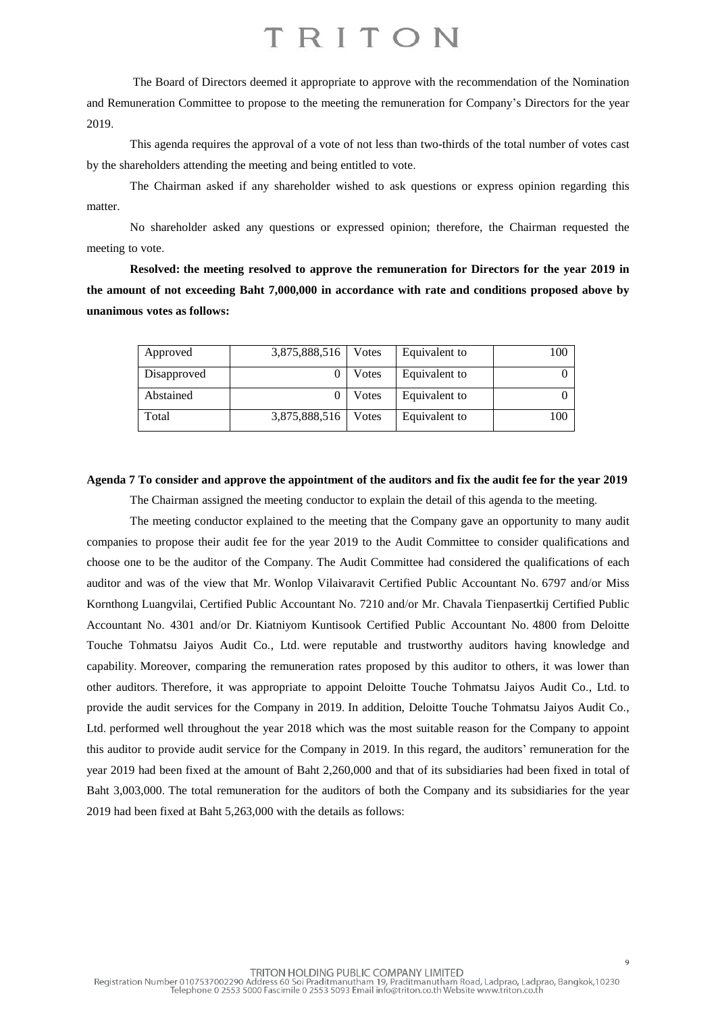The Board of Directors deemed it appropriate to approve with the recommendation of the Nomination and Remuneration Committee to propose to the meeting the remuneration for Company's Directors for the year 2019.

This agenda requires the approval of a vote of not less than two-thirds of the total number of votes cast by the shareholders attending the meeting and being entitled to vote.

The Chairman asked if any shareholder wished to ask questions or express opinion regarding this matter.

No shareholder asked any questions or expressed opinion; therefore, the Chairman requested the meeting to vote.

**Resolved: the meeting resolved to approve the remuneration for Directors for the year 2019 in the amount of not exceeding Baht 7,000,000 in accordance with rate and conditions proposed above by unanimous votes as follows:**

| Approved    | 3,875,888,516 | <b>V</b> otes | Equivalent to | 100 |
|-------------|---------------|---------------|---------------|-----|
| Disapproved |               | Votes         | Equivalent to |     |
| Abstained   |               | Votes         | Equivalent to |     |
| Total       | 3,875,888,516 | Votes         | Equivalent to | 100 |

#### Agenda 7 To consider and approve the appointment of the auditors and fix the audit fee for the year 2019

The Chairman assigned the meeting conductor to explain the detail of this agenda to the meeting.

The meeting conductor explained to the meeting that the Company gave an opportunity to many audit companies to propose their audit fee for the year 2019 to the Audit Committee to consider qualifications and choose one to be the auditor of the Company. The Audit Committee had considered the qualifications of each auditor and was of the view that Mr. Wonlop Vilaivaravit Certified Public Accountant No. 6797 and/or Miss Kornthong Luangvilai, Certified Public Accountant No. 7210 and/or Mr. Chavala Tienpasertkij Certified Public Accountant No. 4301 and/or Dr. Kiatniyom Kuntisook Certified Public Accountant No. 4800 from Deloitte Touche Tohmatsu Jaiyos Audit Co., Ltd. were reputable and trustworthy auditors having knowledge and capability. Moreover, comparing the remuneration rates proposed by this auditor to others, it was lower than other auditors. Therefore, it was appropriate to appoint Deloitte Touche Tohmatsu Jaiyos Audit Co., Ltd. to provide the audit services for the Company in 2019. In addition, Deloitte Touche Tohmatsu Jaiyos Audit Co., Ltd. performed well throughout the year 2018 which was the most suitable reason for the Company to appoint this auditor to provide audit service for the Company in 2019. In this regard, the auditors' remuneration for the year 2019 had been fixed at the amount of Baht 2,260,000 and that of its subsidiaries had been fixed in total of Baht 3,003,000. The total remuneration for the auditors of both the Company and its subsidiaries for the year 2019 had been fixed at Baht 5,263,000 with the details as follows: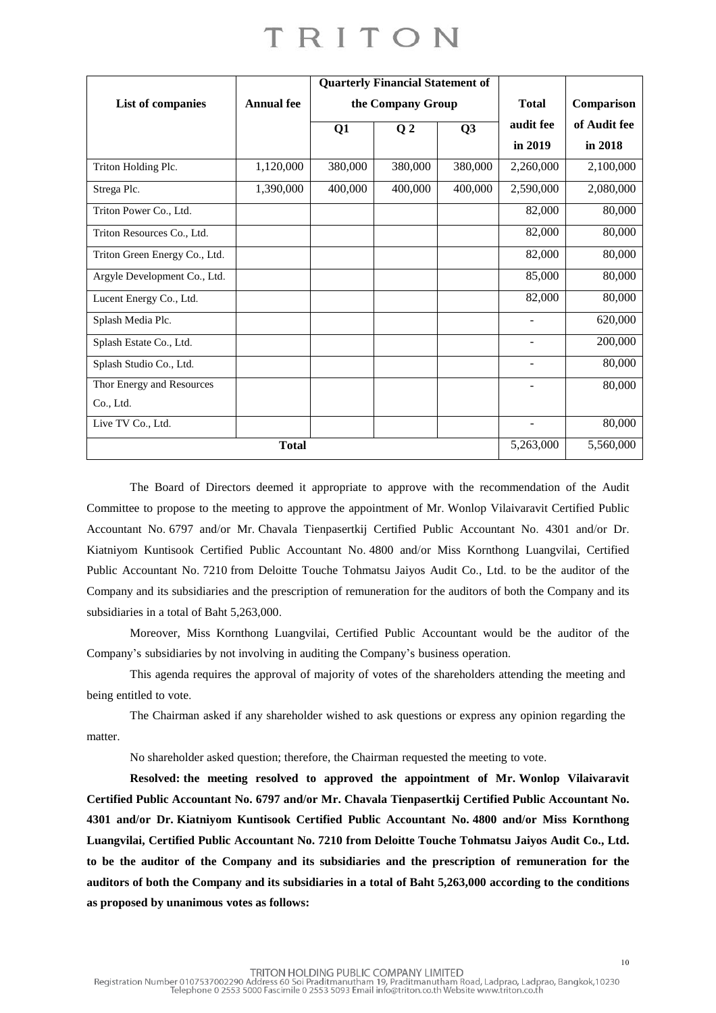|                               |                   |         | <b>Quarterly Financial Statement of</b> |         |                          |              |
|-------------------------------|-------------------|---------|-----------------------------------------|---------|--------------------------|--------------|
| List of companies             | <b>Annual</b> fee |         | the Company Group                       |         | <b>Total</b>             | Comparison   |
|                               |                   | Q1      | Q <sub>2</sub>                          | Q3      | audit fee                | of Audit fee |
|                               |                   |         |                                         |         | in 2019                  | in 2018      |
| Triton Holding Plc.           | 1,120,000         | 380,000 | 380,000                                 | 380,000 | 2,260,000                | 2,100,000    |
| Strega Plc.                   | 1,390,000         | 400,000 | 400,000                                 | 400,000 | 2,590,000                | 2,080,000    |
| Triton Power Co., Ltd.        |                   |         |                                         |         | 82,000                   | 80,000       |
| Triton Resources Co., Ltd.    |                   |         |                                         |         | 82,000                   | 80,000       |
| Triton Green Energy Co., Ltd. |                   |         |                                         |         | 82,000                   | 80,000       |
| Argyle Development Co., Ltd.  |                   |         |                                         |         | 85,000                   | 80,000       |
| Lucent Energy Co., Ltd.       |                   |         |                                         |         | 82,000                   | 80,000       |
| Splash Media Plc.             |                   |         |                                         |         |                          | 620,000      |
| Splash Estate Co., Ltd.       |                   |         |                                         |         |                          | 200,000      |
| Splash Studio Co., Ltd.       |                   |         |                                         |         |                          | 80,000       |
| Thor Energy and Resources     |                   |         |                                         |         |                          | 80,000       |
| Co., Ltd.                     |                   |         |                                         |         |                          |              |
| Live TV Co., Ltd.             |                   |         |                                         |         | $\overline{\phantom{0}}$ | 80,000       |
|                               | <b>Total</b>      |         |                                         |         |                          |              |

The Board of Directors deemed it appropriate to approve with the recommendation of the Audit Committee to propose to the meeting to approve the appointment of Mr. Wonlop Vilaivaravit Certified Public Accountant No. 6797 and/or Mr. Chavala Tienpasertkij Certified Public Accountant No. 4301 and/or Dr. Kiatniyom Kuntisook Certified Public Accountant No. 4800 and/or Miss Kornthong Luangvilai, Certified Public Accountant No. 7210 from Deloitte Touche Tohmatsu Jaiyos Audit Co., Ltd. to be the auditor of the Company and its subsidiaries and the prescription of remuneration for the auditors of both the Company and its subsidiaries in a total of Baht 5,263,000.

Moreover, Miss Kornthong Luangvilai, Certified Public Accountant would be the auditor of the Company's subsidiaries by not involving in auditing the Company's business operation.

This agenda requires the approval of majority of votes of the shareholders attending the meeting and being entitled to vote.

The Chairman asked if any shareholder wished to ask questions or express any opinion regarding the matter.

No shareholder asked question; therefore, the Chairman requested the meeting to vote.

**Resolved: the meeting resolved to approved the appointment of Mr. Wonlop Vilaivaravit Certified Public Accountant No. 6797 and/or Mr. Chavala Tienpasertkij Certified Public Accountant No. 4301 and/or Dr. Kiatniyom Kuntisook Certified Public Accountant No. 4800 and/or Miss Kornthong Luangvilai, Certified Public Accountant No. 7210 from Deloitte Touche Tohmatsu Jaiyos Audit Co., Ltd. to be the auditor of the Company and its subsidiaries and the prescription of remuneration for the** auditors of both the Company and its subsidiaries in a total of Baht 5.263,000 according to the conditions **as proposed by unanimous votes as follows:**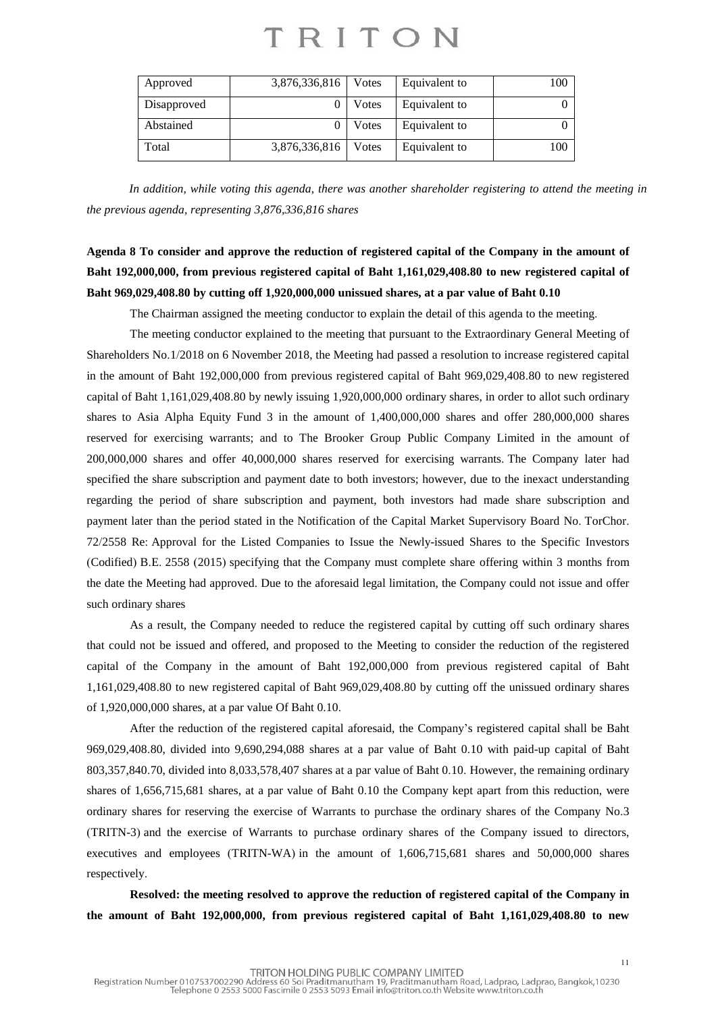| Approved    | 3,876,336,816 | Votes | Equivalent to | 100 |
|-------------|---------------|-------|---------------|-----|
| Disapproved |               | Votes | Equivalent to |     |
| Abstained   |               | Votes | Equivalent to |     |
| Total       | 3,876,336,816 | Votes | Equivalent to | 100 |

*In addition, while voting this agenda, there was another shareholder registering to attend the meeting in the previous agenda, representing 3,876,336,816 shares*

### Agenda 8 To consider and approve the reduction of registered capital of the Company in the amount of **Baht 192,000,000, from previous registered capital of Baht 1,161,029,408.80 to new registered capital of Baht 969,029,408.80 by cutting off 1,920,000,000 unissued shares, at a par value of Baht 0.10**

The Chairman assigned the meeting conductor to explain the detail of this agenda to the meeting.

The meeting conductor explained to the meeting that pursuant to the Extraordinary General Meeting of Shareholders No.1/2018 on 6 November 2018, the Meeting had passed a resolution to increase registered capital in the amount of Baht 192,000,000 from previous registered capital of Baht 969,029,408.80 to new registered capital of Baht 1,161,029,408.80 by newly issuing 1,920,000,000 ordinary shares, in order to allot such ordinary shares to Asia Alpha Equity Fund 3 in the amount of 1,400,000,000 shares and offer 280,000,000 shares reserved for exercising warrants; and to The Brooker Group Public Company Limited in the amount of 200,000,000 shares and offer 40,000,000 shares reserved for exercising warrants. The Company later had specified the share subscription and payment date to both investors; however, due to the inexact understanding regarding the period of share subscription and payment, both investors had made share subscription and payment later than the period stated in the Notification of the Capital Market Supervisory Board No. TorChor. 72/2558 Re: Approval for the Listed Companies to Issue the Newly-issued Shares to the Specific Investors (Codified) B.E. 2558 (2015) specifying that the Company must complete share offering within 3 months from the date the Meetinghad approved. Due to the aforesaid legal limitation, the Company could not issue and offer such ordinary shares

As a result, the Company needed to reduce the registered capital by cutting off such ordinary shares that could not be issued and offered, and proposed to the Meeting to consider the reduction of the registered capital of the Company in the amount of Baht 192,000,000 from previous registered capital of Baht 1,161,029,408.80 to new registered capital of Baht 969,029,408.80 by cutting off the unissued ordinary shares of 1,920,000,000 shares, at a par value Of Baht 0.10.

After the reduction of the registered capital aforesaid, the Company's registered capital shall be Baht 969,029,408.80, divided into 9,690,294,088 shares at a par value of Baht 0.10 with paid-up capital of Baht 803,357,840.70, divided into 8,033,578,407 shares at a par value of Baht 0.10. However, the remaining ordinary shares of 1,656,715,681 shares, at a par value of Baht 0.10 the Company kept apart from this reduction, were ordinary shares for reserving the exercise of Warrants to purchase the ordinary shares of the Company No.3 (TRITN-3) and the exercise of Warrants to purchase ordinary shares of the Company issued to directors, executives and employees (TRITN-WA) in the amount of 1,606,715,681 shares and 50,000,000 shares respectively.

**Resolved: the meeting resolved to approve the reduction of registered capital of the Company in the amount of Baht 192,000,000, from previous registered capital of Baht 1,161,029,408.80 to new**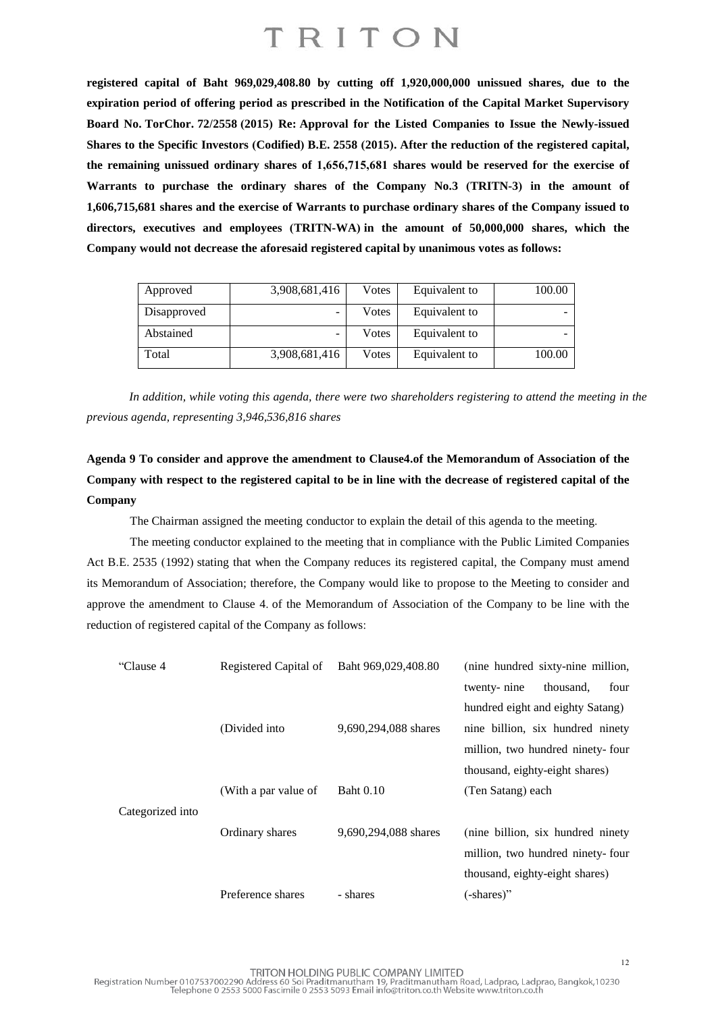**registered capital of Baht 969,029,408.80 by cutting off 1,920,000,000 unissued shares, due to the expiration period of offering period as prescribed in the Notification of the Capital Market Supervisory Board No. TorChor. 72/2558 (2015) Re: Approval for the Listed Companies to Issue the Newly-issued Shares to the Specific Investors (Codified) B.E. 2558 (2015). After the reduction of the registered capital, the remaining unissued ordinary shares of 1,656,715,681 shares would be reserved for the exercise of Warrants to purchase the ordinary shares of the Company No.3 (TRITN-3) in the amount of 1,606,715,681 shares and the exercise of Warrants to purchase ordinary shares of the Company issued to directors, executives and employees (TRITN-WA) in the amount of 50,000,000 shares, which the Company would not decrease the aforesaid registered capital by unanimous votes as follows:**

| Approved    | 3,908,681,416 | Votes | Equivalent to | 100.00 |
|-------------|---------------|-------|---------------|--------|
| Disapproved | -             | Votes | Equivalent to |        |
| Abstained   | -             | Votes | Equivalent to |        |
| Total       | 3,908,681,416 | Votes | Equivalent to | 100.00 |

In addition, while voting this agenda, there were two shareholders registering to attend the meeting in the *previous agenda, representing 3,946,536,816 shares*

**Agenda 9 To consider and approve the amendment to Clause4.of the Memorandum of Association of the** Company with respect to the registered capital to be in line with the decrease of registered capital of the **Company**

The Chairman assigned the meeting conductor to explain the detail of this agenda to the meeting.

The meeting conductor explained to the meeting that in compliance with the Public Limited Companies Act B.E. 2535 (1992) stating that when the Company reduces its registered capital, the Company must amend its Memorandum of Association; therefore, the Company would like to propose to the Meeting to consider and approve the amendment to Clause 4. of the Memorandum of Association of the Company to be line with the reduction of registered capital of the Company as follows:

| "Clause 4        | Registered Capital of | Baht 969,029,408.80  | (nine hundred sixty-nine million,  |
|------------------|-----------------------|----------------------|------------------------------------|
|                  |                       |                      | thousand,<br>twenty-nine<br>four   |
|                  |                       |                      | hundred eight and eighty Satang)   |
|                  | (Divided into         | 9,690,294,088 shares | nine billion, six hundred ninety   |
|                  |                       |                      | million, two hundred ninety-four   |
|                  |                       |                      | thousand, eighty-eight shares)     |
|                  | (With a par value of  | <b>Baht 0.10</b>     | (Ten Satang) each                  |
| Categorized into |                       |                      |                                    |
|                  | Ordinary shares       | 9,690,294,088 shares | (nine billion, six hundred ninety) |
|                  |                       |                      | million, two hundred ninety-four   |
|                  |                       |                      | thousand, eighty-eight shares)     |
|                  | Preference shares     | - shares             | (-shares)"                         |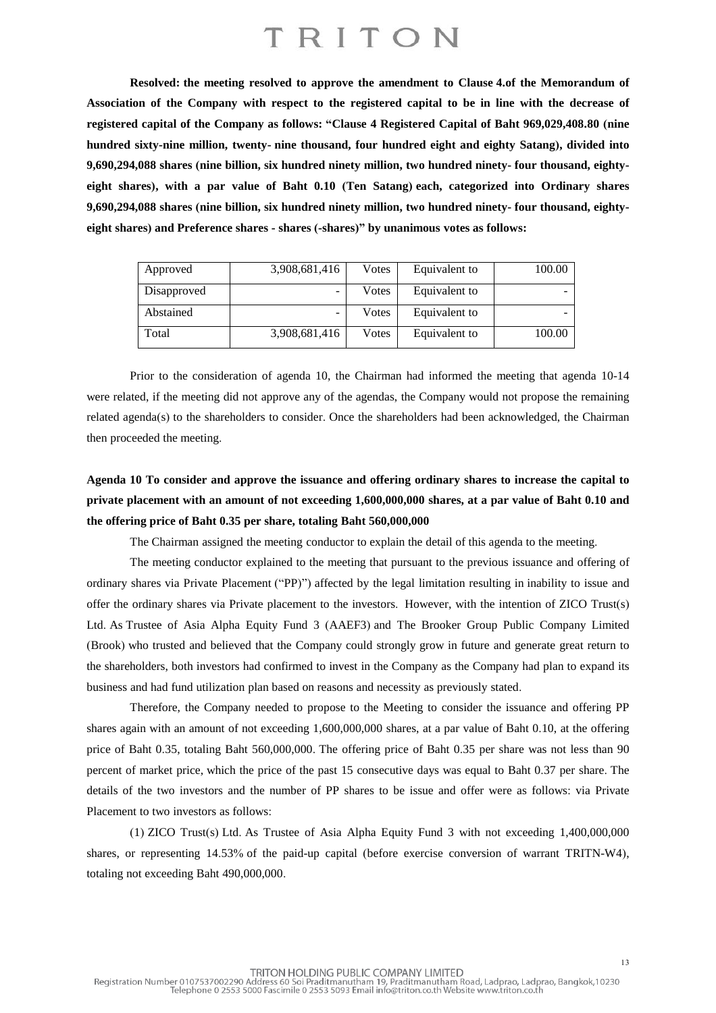**Resolved: the meeting resolved to approve the amendment to Clause 4.of the Memorandum of** Association of the Company with respect to the registered capital to be in line with the decrease of **registered capital of the Company as follows: "Clause 4 Registered Capital of Baht 969,029,408.80 (nine hundred sixty-nine million, twenty- nine thousand, four hundred eight and eighty Satang), divided into 9,690,294,088 shares (nine billion, six hundred ninety million, two hundred ninety- four thousand, eightyeight shares), with a par value of Baht 0.10 (Ten Satang) each, categorized into Ordinary shares 9,690,294,088 shares (nine billion, six hundred ninety million, two hundred ninety- four thousand, eightyeight shares) and Preference shares - shares (-shares)" by unanimous votes as follows:**

| Approved    | 3,908,681,416 | Votes | Equivalent to | 100.00 |
|-------------|---------------|-------|---------------|--------|
| Disapproved | -             | Votes | Equivalent to |        |
| Abstained   | -             | Votes | Equivalent to |        |
| Total       | 3,908,681,416 | Votes | Equivalent to | 100.00 |

Prior to the consideration of agenda 10, the Chairman had informed the meeting that agenda 10-14 were related, if the meeting did not approve any of the agendas, the Company would not propose the remaining related agenda(s) to the shareholders to consider. Once the shareholders had been acknowledged, the Chairman then proceeded the meeting.

### **Agenda 10 To consider and approve the issuance and offering ordinary shares to increase the capital to** private placement with an amount of not exceeding 1,600,000,000 shares, at a par value of Baht 0.10 and **the offering price of Baht 0.35 per share, totaling Baht 560,000,000**

The Chairman assigned the meeting conductor to explain the detail of this agenda to the meeting.

The meeting conductor explained to the meeting that pursuant to the previous issuance and offering of ordinary shares via Private Placement ("PP)") affected by the legal limitation resulting in inability to issue and offer the ordinary shares via Private placement to the investors. However, with the intention of ZICO Trust(s) Ltd. As Trustee of Asia Alpha Equity Fund 3 (AAEF3) and The Brooker Group Public Company Limited (Brook) who trusted and believed that the Company could strongly grow in future and generate great return to the shareholders, both investors had confirmed to invest in the Company as the Company had plan to expand its business and had fund utilization plan based on reasons and necessity as previously stated.

Therefore, the Company needed to propose to the Meeting to consider the issuance and offering PP shares again with an amount of not exceeding 1,600,000,000 shares, at a par value of Baht 0.10, at the offering price of Baht 0.35, totaling Baht 560,000,000. The offering price of Baht 0.35 per share was not less than 90 percent of market price, which the price of the past 15 consecutive days was equal to Baht 0.37 per share. The details of the two investors and the number of PP shares to be issue and offer were as follows: via Private Placement to two investors as follows:

(1) ZICO Trust(s) Ltd. As Trustee of Asia Alpha Equity Fund 3 with not exceeding 1,400,000,000 shares, or representing 14.53% of the paid-up capital (before exercise conversion of warrant TRITN-W4), totaling not exceeding Baht 490,000,000.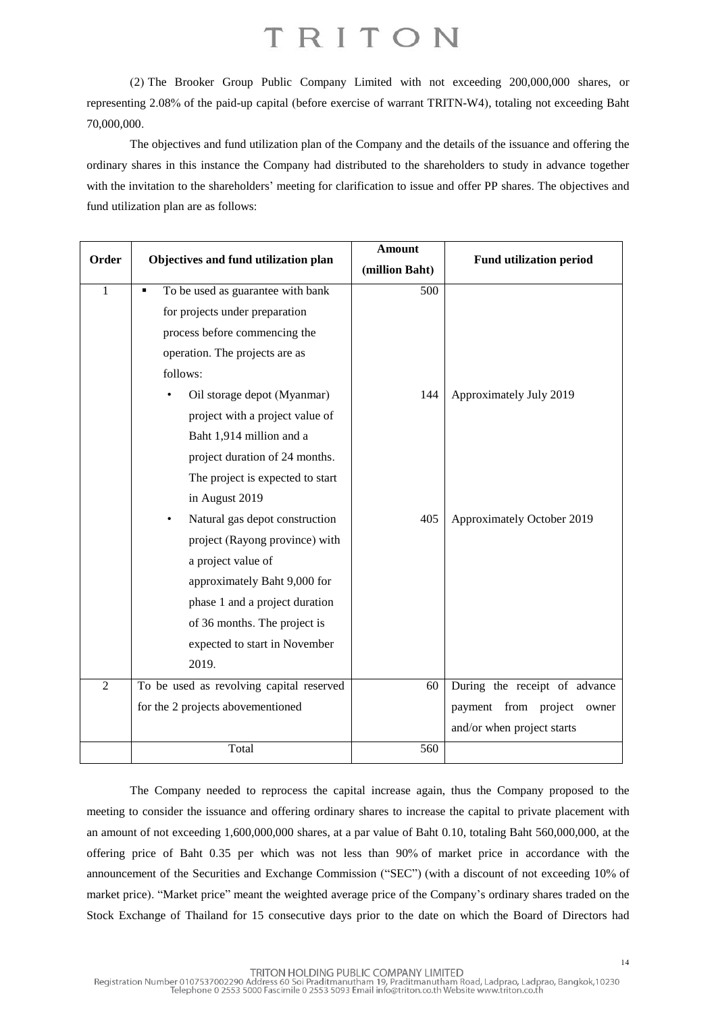(2) The Brooker Group Public Company Limited with not exceeding 200,000,000 shares, or representing 2.08% of the paid-up capital (before exercise of warrant TRITN-W4), totaling not exceeding Baht 70,000,000.

The objectives and fund utilization plan of the Company and the details of the issuance and offering the ordinary shares in this instance the Company had distributed to the shareholders to study in advance together with the invitation to the shareholders' meeting for clarification to issue and offer PP shares. The objectives and fund utilization plan are as follows:

| Order          | Objectives and fund utilization plan     | <b>Amount</b><br>(million Baht) | <b>Fund utilization period</b> |
|----------------|------------------------------------------|---------------------------------|--------------------------------|
| $\mathbf{1}$   | To be used as guarantee with bank<br>٠   | 500                             |                                |
|                | for projects under preparation           |                                 |                                |
|                | process before commencing the            |                                 |                                |
|                | operation. The projects are as           |                                 |                                |
|                | follows:                                 |                                 |                                |
|                | Oil storage depot (Myanmar)              | 144                             | Approximately July 2019        |
|                | project with a project value of          |                                 |                                |
|                | Baht 1,914 million and a                 |                                 |                                |
|                | project duration of 24 months.           |                                 |                                |
|                | The project is expected to start         |                                 |                                |
|                | in August 2019                           |                                 |                                |
|                | Natural gas depot construction           | 405                             | Approximately October 2019     |
|                | project (Rayong province) with           |                                 |                                |
|                | a project value of                       |                                 |                                |
|                | approximately Baht 9,000 for             |                                 |                                |
|                | phase 1 and a project duration           |                                 |                                |
|                | of 36 months. The project is             |                                 |                                |
|                | expected to start in November            |                                 |                                |
|                | 2019.                                    |                                 |                                |
| $\overline{2}$ | To be used as revolving capital reserved | 60                              | During the receipt of advance  |
|                | for the 2 projects abovementioned        |                                 | payment from project<br>owner  |
|                |                                          |                                 | and/or when project starts     |
|                | Total                                    | 560                             |                                |

The Company needed to reprocess the capital increase again, thus the Company proposed to the meeting to consider the issuance and offering ordinary shares to increase the capital to private placement with an amount of not exceeding 1,600,000,000 shares, at a par value of Baht 0.10, totaling Baht 560,000,000, at the offering price of Baht 0.35 per which was not less than 90% of market price in accordance with the announcement of the Securities and Exchange Commission ("SEC") (with a discount of not exceeding 10% of market price). "Market price" meant the weighted average price of the Company's ordinary shares traded on the Stock Exchange of Thailand for 15 consecutive days prior to the date on which the Board of Directors had

14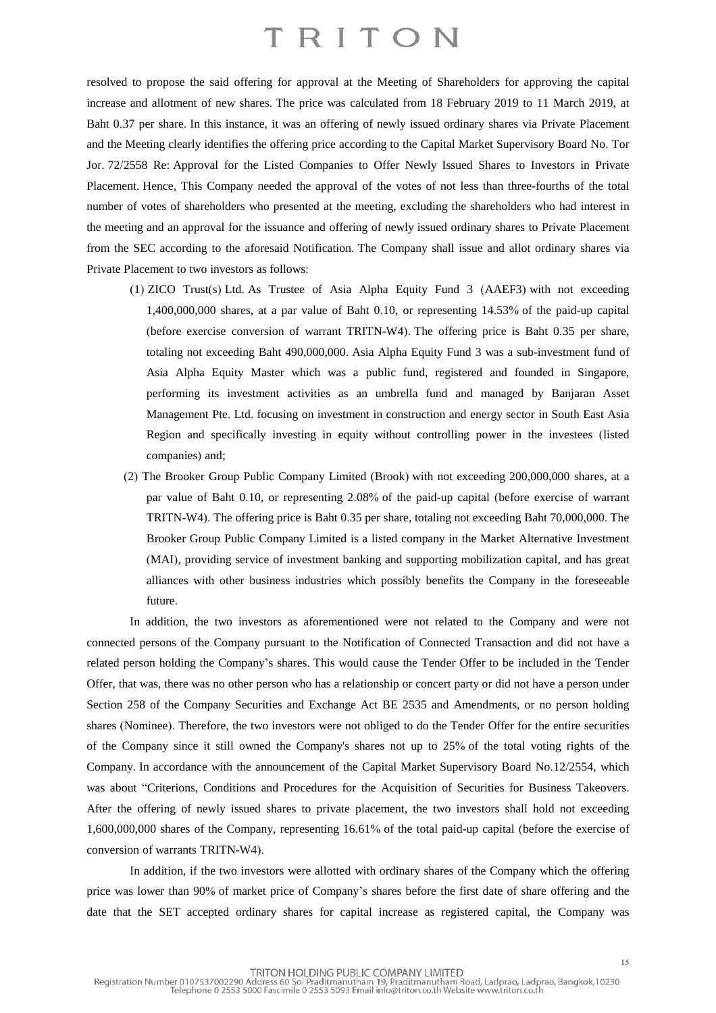resolved to propose the said offering for approval at the Meeting of Shareholders for approving the capital increase and allotment of new shares. The price was calculated from 18 February 2019 to 11 March 2019, at Baht 0.37 per share. In this instance, it was an offering of newly issued ordinary shares via Private Placement and the Meeting clearly identifies the offering price according to the Capital Market Supervisory Board No. Tor Jor. 72/2558 Re: Approval for the Listed Companies to Offer Newly Issued Shares to Investors in Private Placement. Hence, This Company needed the approval of the votes of not less than three-fourths of the total number of votes of shareholders who presented at the meeting, excluding the shareholders who had interest in the meeting and an approval for the issuance and offering of newly issued ordinary shares to Private Placement from the SEC according to the aforesaid Notification. The Company shall issue and allot ordinary shares via Private Placement to two investors as follows:

- (1) ZICO Trust(s) Ltd. As Trustee of Asia Alpha Equity Fund 3 (AAEF3) with not exceeding 1,400,000,000 shares, at a par value of Baht 0.10, or representing 14.53% of the paid-up capital (before exercise conversion of warrant TRITN-W4). The offering price is Baht 0.35 per share, totaling not exceeding Baht 490,000,000. Asia Alpha Equity Fund 3 was a sub-investment fund of Asia Alpha Equity Master which was a public fund, registered and founded in Singapore, performing its investment activities as an umbrella fund and managed by Banjaran Asset Management Pte. Ltd. focusing on investment in construction and energy sector in South East Asia Region and specifically investing in equity without controlling power in the investees (listed companies) and;
- (2) The Brooker Group Public Company Limited (Brook) with not exceeding 200,000,000 shares, at a par value of Baht 0.10, or representing 2.08% of the paid-up capital (before exercise of warrant TRITN-W4). The offering price is Baht 0.35 per share, totaling not exceeding Baht 70,000,000. The Brooker Group Public Company Limited is a listed company in the Market Alternative Investment (MAI), providing service of investment banking and supporting mobilization capital, and has great alliances with other business industries which possibly benefits the Company in the foreseeable future.

In addition, the two investors as aforementioned were not related to the Company and were not connected persons of the Company pursuant to the Notification of Connected Transaction and did not have a related person holding the Company's shares. This would cause the Tender Offer to be included in the Tender Offer, that was, there was no other person who has a relationship or concert party or did not have a person under Section 258 of the Company Securities and Exchange Act BE 2535 and Amendments, or no person holding shares (Nominee). Therefore, the two investors were not obliged to do the Tender Offer for the entire securities of the Company since it still owned the Company's shares not up to 25% of the total voting rights of the Company. In accordance with the announcement of the Capital Market Supervisory Board No.12/2554, which was about "Criterions, Conditions and Procedures for the Acquisition of Securities for Business Takeovers. After the offering of newly issued shares to private placement, the two investors shall hold not exceeding 1,600,000,000 shares of the Company, representing 16.61% of the total paid-up capital (before the exercise of conversion of warrants TRITN-W4).

In addition, if the two investors were allotted with ordinary shares of the Company which the offering price was lower than 90% of market price of Company's shares before the first date of share offering and the date that the SET accepted ordinary shares for capital increase as registered capital, the Company was

15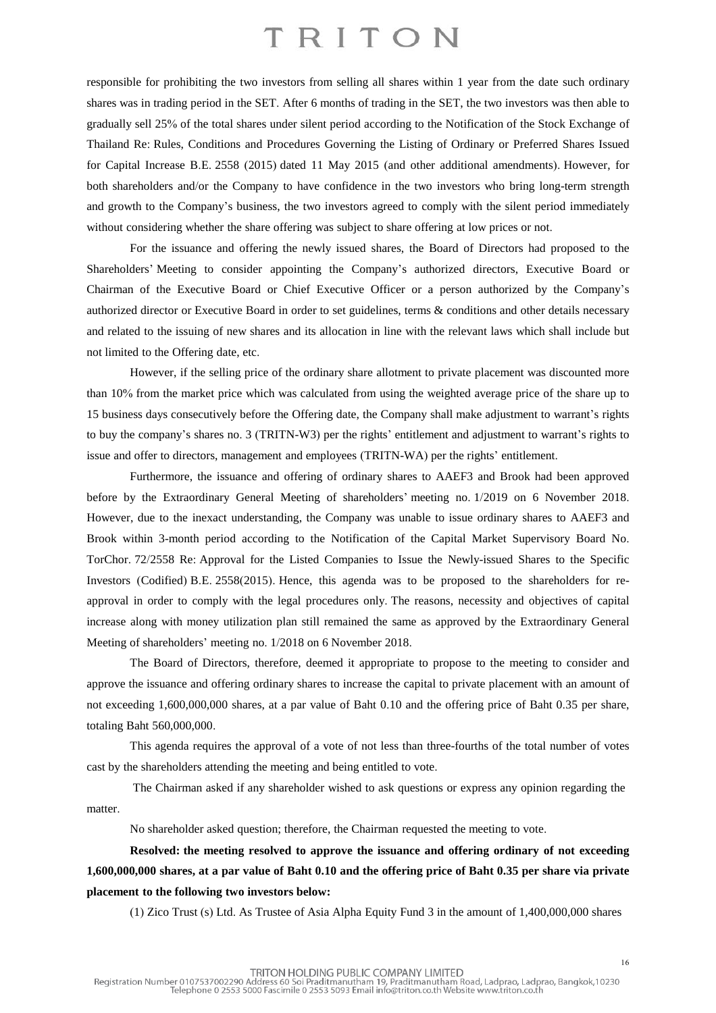responsible for prohibiting the two investors from selling all shares within 1 year from the date such ordinary shares was in trading period in the SET. After 6 months of trading in the SET, the two investors was then able to gradually sell 25% of the total shares under silent period according to the Notification of the Stock Exchange of Thailand Re: Rules, Conditions and Procedures Governing the Listing of Ordinary or Preferred Shares Issued for Capital Increase B.E. 2558 (2015) dated 11 May 2015 (and other additional amendments). However, for both shareholders and/or the Company to have confidence in the two investors who bring long-term strength and growth to the Company's business, the two investors agreed to comply with the silent period immediately without considering whether the share offering was subject to share offering at low prices or not.

For the issuance and offering the newly issued shares, the Board of Directors had proposed to the Shareholders' Meeting to consider appointing the Company's authorized directors, Executive Board or Chairman of the Executive Board or Chief Executive Officer or a person authorized by the Company's authorized director or Executive Board in order to set guidelines, terms & conditions and other details necessary and related to the issuing of new shares and its allocation in line with the relevant laws which shall include but not limited to the Offering date, etc.

However, if the selling price of the ordinary share allotment to private placement was discounted more than 10% from the market price which was calculated from using the weighted average price of the share up to 15 business days consecutively before the Offering date, the Company shall make adjustment to warrant's rights to buy the company's shares no. 3 (TRITN-W3) per the rights' entitlement and adjustment to warrant's rights to issue and offer to directors, management and employees (TRITN-WA) per the rights' entitlement.

Furthermore, the issuance and offering of ordinary shares to AAEF3 and Brook had been approved before by the Extraordinary General Meeting of shareholders' meeting no. 1/2019 on 6 November 2018. However, due to the inexact understanding, the Company was unable to issue ordinary shares to AAEF3 and Brook within 3-month period according to the Notification of the Capital Market Supervisory Board No. TorChor. 72/2558 Re: Approval for the Listed Companies to Issue the Newly-issued Shares to the Specific Investors (Codified) B.E. 2558(2015). Hence, this agenda was to be proposed to the shareholders for reapproval in order to comply with the legal procedures only. The reasons, necessity and objectives of capital increase along with money utilization plan still remained the same as approved by the Extraordinary General Meeting of shareholders' meeting no. 1/2018 on 6 November 2018.

The Board of Directors, therefore, deemed it appropriate to propose to the meeting to consider and approve the issuance and offering ordinary shares to increase the capital to private placement with an amount of not exceeding 1,600,000,000 shares, at a par value of Baht 0.10 and the offering price of Baht 0.35 per share, totaling Baht 560,000,000.

This agenda requires the approval of a vote of not less than three-fourths of the total number of votes cast by the shareholders attending the meeting and being entitled to vote.

The Chairman asked if any shareholder wished to ask questions or express any opinion regarding the matter.

No shareholder asked question; therefore, the Chairman requested the meeting to vote.

**Resolved: the meeting resolved to approve the issuance and offering ordinary of not exceeding** 1,600,000,000 shares, at a par value of Baht 0.10 and the offering price of Baht 0.35 per share via private **placement to the following two investors below:**

(1) Zico Trust (s) Ltd. As Trustee of Asia Alpha Equity Fund 3 in the amount of 1,400,000,000 shares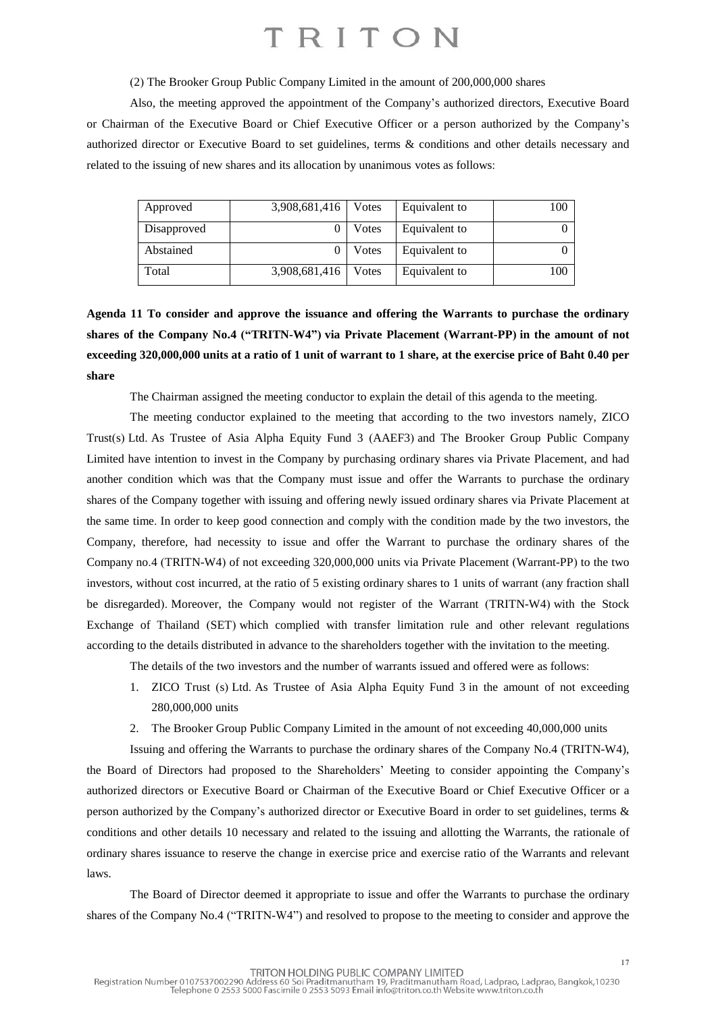(2) The Brooker Group Public Company Limited in the amount of 200,000,000 shares

Also, the meeting approved the appointment of the Company's authorized directors, Executive Board or Chairman of the Executive Board or Chief Executive Officer or a person authorized by the Company's authorized director or Executive Board to set guidelines, terms & conditions and other details necessary and related to the issuing of new shares and its allocation by unanimous votes as follows:

| Approved    | 3,908,681,416 | Votes | Equivalent to | 100 |
|-------------|---------------|-------|---------------|-----|
| Disapproved |               | Votes | Equivalent to | 0   |
| Abstained   |               | Votes | Equivalent to | 0   |
| Total       | 3,908,681,416 | Votes | Equivalent to | 100 |

**Agenda 11 To consider and approve the issuance and offering the Warrants to purchase the ordinary shares of the Company No.4 ("TRITN-W4") via Private Placement (Warrant-PP) in the amount of not** exceeding 320,000,000 units at a ratio of 1 unit of warrant to 1 share, at the exercise price of Baht 0.40 per **share**

The Chairman assigned the meeting conductor to explain the detail of this agenda to the meeting.

The meeting conductor explained to the meeting that according to the two investors namely, ZICO Trust(s) Ltd. As Trustee of Asia Alpha Equity Fund 3 (AAEF3) and The Brooker Group Public Company Limited have intention to invest in the Company by purchasing ordinary shares via Private Placement, and had another condition which was that the Company must issue and offer the Warrants to purchase the ordinary shares of the Company together with issuing and offering newly issued ordinary shares via Private Placement at the same time. In order to keep good connection and comply with the condition made by the two investors, the Company, therefore, had necessity to issue and offer the Warrant to purchase the ordinary shares of the Company no.4 (TRITN-W4) of not exceeding 320,000,000 units via Private Placement (Warrant-PP) to the two investors, without cost incurred, at the ratio of 5 existing ordinary shares to 1 units of warrant (any fraction shall be disregarded). Moreover, the Company would not register of the Warrant (TRITN-W4) with the Stock Exchange of Thailand (SET) which complied with transfer limitation rule and other relevant regulations according to the details distributed in advance to the shareholders together with the invitation to the meeting.

The details of the two investors and the number of warrants issued and offered were as follows:

- 1. ZICO Trust (s) Ltd. As Trustee of Asia Alpha Equity Fund 3 in the amount of not exceeding 280,000,000 units
- 2. The Brooker Group Public Company Limited in the amount of not exceeding 40,000,000 units

Issuing and offering the Warrants to purchase the ordinary shares of the Company No.4 (TRITN-W4), the Board of Directors had proposed to the Shareholders' Meeting to consider appointing the Company's authorized directors or Executive Board or Chairman of the Executive Board or Chief Executive Officer or a person authorized by the Company's authorized director or Executive Board in order to set guidelines, terms & conditions and other details 10 necessary and related to the issuing and allotting the Warrants, the rationale of ordinary shares issuance to reserve the change in exercise price and exercise ratio of the Warrants and relevant laws.

The Board of Director deemed it appropriate to issue and offer the Warrants to purchase the ordinary shares of the Company No.4 ("TRITN-W4") and resolved to propose to the meeting to consider and approve the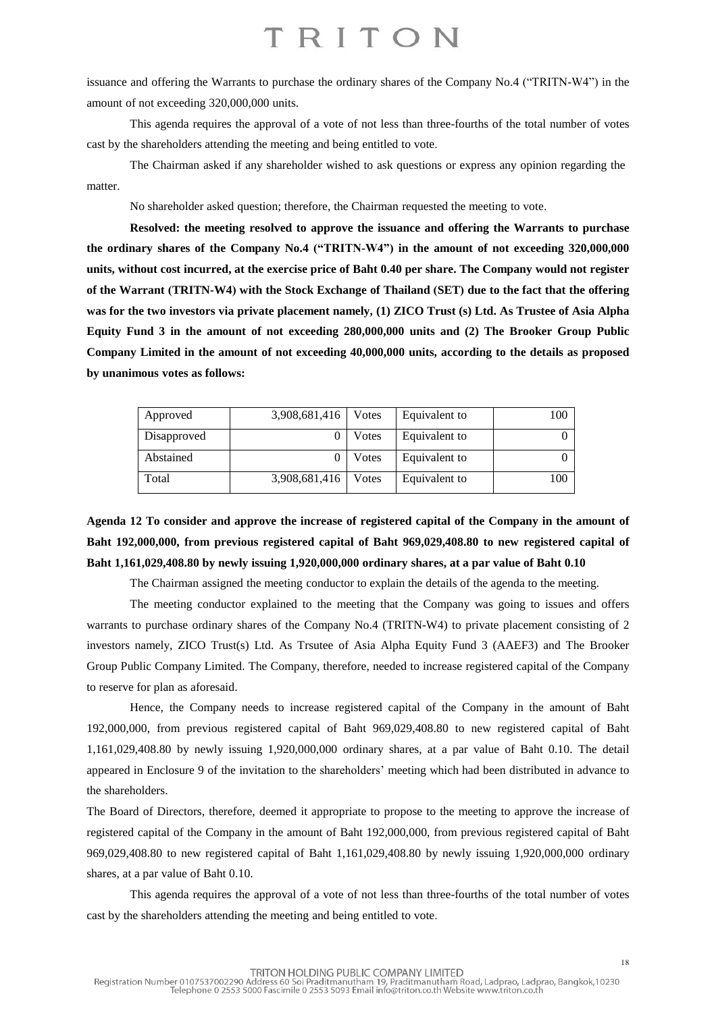issuance and offering the Warrants to purchase the ordinary shares of the Company No.4 ("TRITN-W4") in the amount of not exceeding 320,000,000 units.

This agenda requires the approval of a vote of not less than three-fourths of the total number of votes cast by the shareholders attending the meeting and being entitled to vote.

The Chairman asked if any shareholder wished to ask questions or express any opinion regarding the matter.

No shareholder asked question; therefore, the Chairman requested the meeting to vote.

**Resolved: the meeting resolved to approve the issuance and offering the Warrants to purchase the ordinary shares of the Company No.4 ("TRITN-W4") in the amount of not exceeding 320,000,000** units, without cost incurred, at the exercise price of Baht 0.40 per share. The Company would not register of the Warrant (TRITN-W4) with the Stock Exchange of Thailand (SET) due to the fact that the offering was for the two investors via private placement namely, (1) ZICO Trust (s) Ltd. As Trustee of Asia Alpha **Equity Fund 3 in the amount of not exceeding 280,000,000 units and (2) The Brooker Group Public Company Limited in the amount of not exceeding 40,000,000 units, according to the details as proposed by unanimous votes as follows:**

| Approved    | 3,908,681,416 | Votes | Equivalent to | 100 |
|-------------|---------------|-------|---------------|-----|
| Disapproved |               | Votes | Equivalent to |     |
| Abstained   |               | Votes | Equivalent to |     |
| Total       | 3,908,681,416 | Votes | Equivalent to | 100 |

Agenda 12 To consider and approve the increase of registered capital of the Company in the amount of **Baht 192,000,000, from previous registered capital of Baht 969,029,408.80 to new registered capital of Baht 1,161,029,408.80 by newly issuing 1,920,000,000 ordinary shares, at a par value of Baht 0.10**

The Chairman assigned the meeting conductor to explain the details of the agenda to the meeting.

The meeting conductor explained to the meeting that the Company was going to issues and offers warrants to purchase ordinary shares of the Company No.4 (TRITN-W4) to private placement consisting of 2 investors namely, ZICO Trust(s) Ltd. As Trsutee of Asia Alpha Equity Fund 3 (AAEF3) and The Brooker Group Public Company Limited. The Company, therefore, needed to increase registered capital of the Company to reserve for plan as aforesaid.

Hence, the Company needs to increase registered capital of the Company in the amount of Baht 192,000,000, from previous registered capital of Baht 969,029,408.80 to new registered capital of Baht 1,161,029,408.80 by newly issuing 1,920,000,000 ordinary shares, at a par value of Baht 0.10. The detail appeared in Enclosure 9 of the invitation to the shareholders' meeting which had been distributed in advance to the shareholders.

The Board of Directors, therefore, deemed it appropriate to propose to the meeting to approve the increase of registered capital of the Company in the amount of Baht 192,000,000, from previous registered capital of Baht 969,029,408.80 to new registered capital of Baht 1,161,029,408.80 by newly issuing 1,920,000,000 ordinary shares, at a par value of Baht 0.10.

This agenda requires the approval of a vote of not less than three-fourths of the total number of votes cast by the shareholders attending the meeting and being entitled to vote.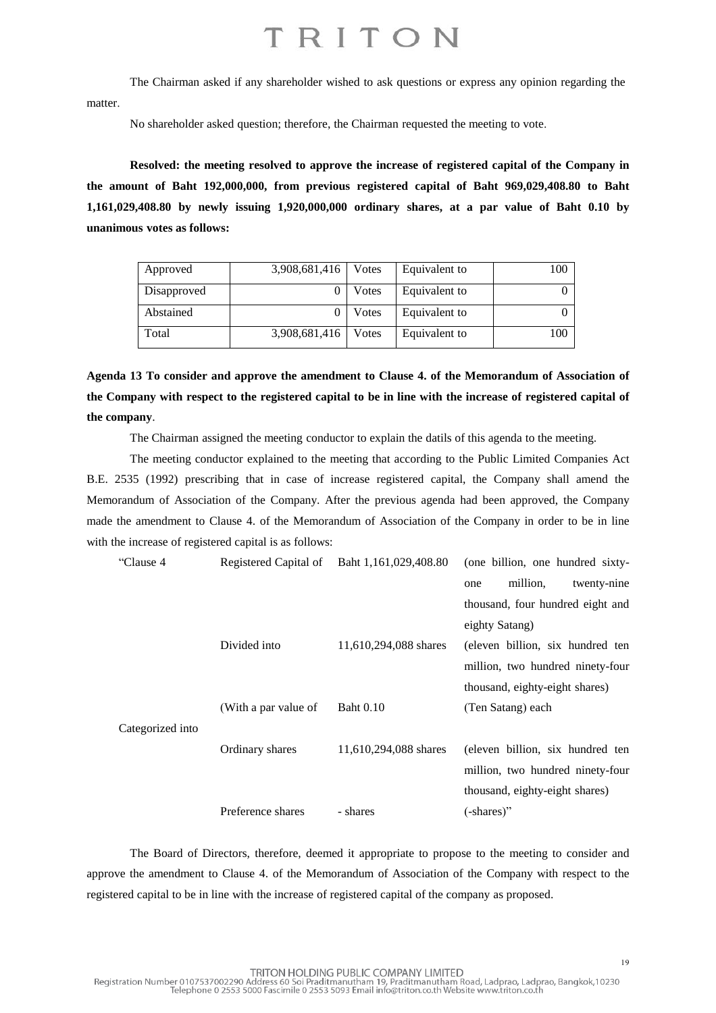The Chairman asked if any shareholder wished to ask questions or express any opinion regarding the matter.

No shareholder asked question; therefore, the Chairman requested the meeting to vote.

**Resolved: the meeting resolved to approve the increase of registered capital of the Company in the amount of Baht 192,000,000, from previous registered capital of Baht 969,029,408.80 to Baht 1,161,029,408.80 by newly issuing 1,920,000,000 ordinary shares, at a par value of Baht 0.10 by unanimous votes as follows:**

| Approved    | 3,908,681,416   Votes |       | Equivalent to | 100 |
|-------------|-----------------------|-------|---------------|-----|
| Disapproved |                       | Votes | Equivalent to |     |
| Abstained   |                       | Votes | Equivalent to |     |
| Total       | 3,908,681,416         | Votes | Equivalent to | 100 |

**Agenda 13 To consider and approve the amendment to Clause 4. of the Memorandum of Association of** the Company with respect to the registered capital to be in line with the increase of registered capital of **the company**.

The Chairman assigned the meeting conductor to explain the datils of this agenda to the meeting.

The meeting conductor explained to the meeting that according to the Public Limited Companies Act B.E. 2535 (1992) prescribing that in case of increase registered capital, the Company shall amend the Memorandum of Association of the Company. After the previous agenda had been approved, the Company made the amendment to Clause 4. of the Memorandum of Association of the Company in order to be in line with the increase of registered capital is as follows:

| "Clause 4        |                      | Registered Capital of Baht 1,161,029,408.80 | (one billion, one hundred sixty- |
|------------------|----------------------|---------------------------------------------|----------------------------------|
|                  |                      |                                             | million,<br>twenty-nine<br>one   |
|                  |                      |                                             | thousand, four hundred eight and |
|                  |                      |                                             | eighty Satang)                   |
|                  | Divided into         | 11,610,294,088 shares                       | (eleven billion, six hundred ten |
|                  |                      |                                             | million, two hundred ninety-four |
|                  |                      |                                             | thousand, eighty-eight shares)   |
|                  | (With a par value of | <b>Baht</b> 0.10                            | (Ten Satang) each                |
| Categorized into |                      |                                             |                                  |
|                  | Ordinary shares      | 11,610,294,088 shares                       | (eleven billion, six hundred ten |
|                  |                      |                                             | million, two hundred ninety-four |
|                  |                      |                                             | thousand, eighty-eight shares)   |
|                  | Preference shares    | - shares                                    | (-shares)"                       |
|                  |                      |                                             |                                  |

The Board of Directors, therefore, deemed it appropriate to propose to the meeting to consider and approve the amendment to Clause 4. of the Memorandum of Association of the Company with respect to the registered capital to be in line with the increase of registered capital of the company as proposed.

19<br>TRITON HOLDING PUBLIC COMPANY LIMITED<br>Telephone 0 2553 5000 Fascimile 0 2553 5093 Email info@triton.co.th Website www.triton.co.th<br>Telephone 0 2553 5000 Fascimile 0 2553 5093 Email info@triton.co.th Website www.triton.c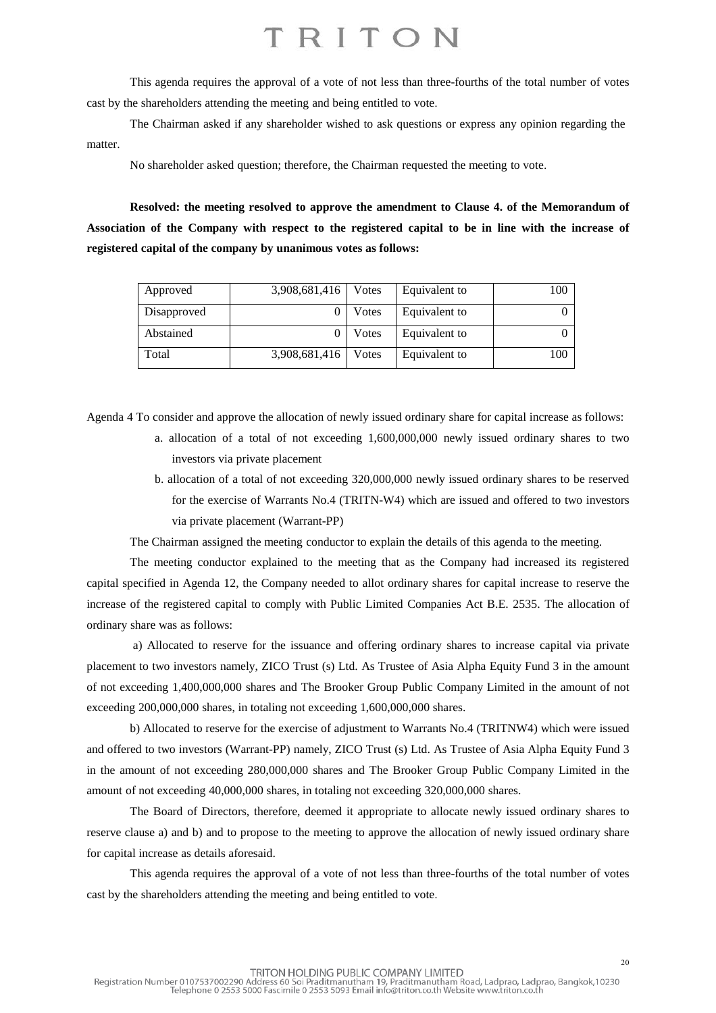This agenda requires the approval of a vote of not less than three-fourths of the total number of votes cast by the shareholders attending the meeting and being entitled to vote.

The Chairman asked if any shareholder wished to ask questions or express any opinion regarding the matter.

No shareholder asked question; therefore, the Chairman requested the meeting to vote.

**Resolved: the meeting resolved to approve the amendment to Clause 4. of the Memorandum of** Association of the Company with respect to the registered capital to be in line with the increase of **registered capital of the company by unanimous votes as follows:**

| Approved    | 3,908,681,416 | Votes | Equivalent to | 100 |
|-------------|---------------|-------|---------------|-----|
| Disapproved |               | Votes | Equivalent to |     |
| Abstained   |               | Votes | Equivalent to |     |
| Total       | 3,908,681,416 | Votes | Equivalent to | 100 |

Agenda 4 To consider and approve the allocation of newly issued ordinary share for capital increase as follows:

- a. allocation of a total of not exceeding 1,600,000,000 newly issued ordinary shares to two investors via private placement
- b. allocation of a total of not exceeding 320,000,000 newly issued ordinary shares to be reserved for the exercise of Warrants No.4 (TRITN-W4) which are issued and offered to two investors via private placement (Warrant-PP)

The Chairman assigned the meeting conductor to explain the details of this agenda to the meeting.

The meeting conductor explained to the meeting that as the Company had increased its registered capital specified in Agenda 12, the Company needed to allot ordinary shares for capital increase to reserve the increase of the registered capital to comply with Public Limited Companies Act B.E. 2535. The allocation of ordinary share was as follows:

a) Allocated to reserve for the issuance and offering ordinary shares to increase capital via private placement to two investors namely, ZICO Trust (s) Ltd. As Trustee of Asia Alpha Equity Fund 3 in the amount of not exceeding 1,400,000,000 shares and The Brooker Group Public Company Limited in the amount of not exceeding 200,000,000 shares, in totaling not exceeding 1,600,000,000 shares.

b) Allocated to reserve for the exercise of adjustment to Warrants No.4 (TRITNW4) which were issued and offered to two investors (Warrant-PP) namely, ZICO Trust (s) Ltd. As Trustee of Asia Alpha Equity Fund 3 in the amount of not exceeding 280,000,000 shares and The Brooker Group Public Company Limited in the amount of not exceeding 40,000,000 shares, in totaling not exceeding 320,000,000 shares.

The Board of Directors, therefore, deemed it appropriate to allocate newly issued ordinary shares to reserve clause a) and b) and to propose to the meeting to approve the allocation of newly issued ordinary share for capital increase as details aforesaid.

This agenda requires the approval of a vote of not less than three-fourths of the total number of votes cast by the shareholders attending the meeting and being entitled to vote.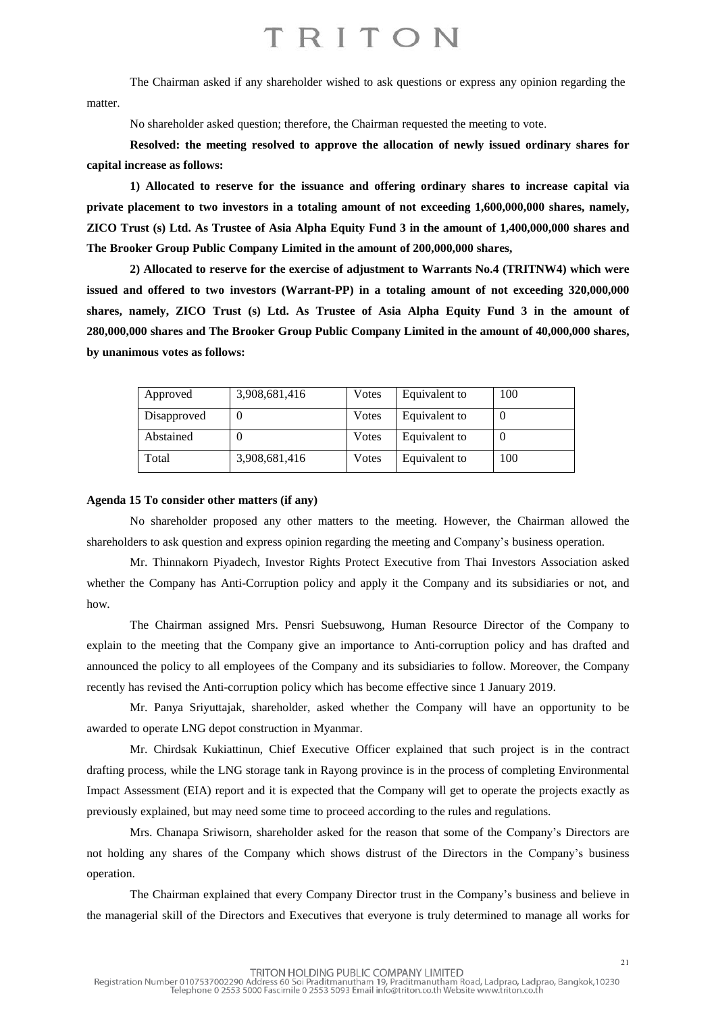The Chairman asked if any shareholder wished to ask questions or express any opinion regarding the matter.

No shareholder asked question; therefore, the Chairman requested the meeting to vote.

**Resolved: the meeting resolved to approve the allocation of newly issued ordinary shares for capital increase as follows:**

**1) Allocated to reserve for the issuance and offering ordinary shares to increase capital via private placement to two investors in a totaling amount of not exceeding 1,600,000,000 shares, namely,** ZICO Trust (s) Ltd. As Trustee of Asia Alpha Equity Fund 3 in the amount of 1,400,000,000 shares and **The Brooker Group Public Company Limited in the amount of 200,000,000 shares,**

**2) Allocated to reserve for the exercise of adjustment to Warrants No.4 (TRITNW4) which were issued and offered to two investors (Warrant-PP) in a totaling amount of not exceeding 320,000,000 shares, namely, ZICO Trust (s) Ltd. As Trustee of Asia Alpha Equity Fund 3 in the amount of 280,000,000 shares and The Brooker Group Public Company Limited in the amount of 40,000,000 shares, by unanimous votes as follows:**

| Approved    | 3,908,681,416 | Votes | Equivalent to | 100 |
|-------------|---------------|-------|---------------|-----|
| Disapproved |               | Votes | Equivalent to |     |
| Abstained   |               | Votes | Equivalent to |     |
| Total       | 3,908,681,416 | Votes | Equivalent to | 100 |

#### **Agenda 15 To consider other matters (if any)**

No shareholder proposed any other matters to the meeting. However, the Chairman allowed the shareholders to ask question and express opinion regarding the meeting and Company's business operation.

Mr. Thinnakorn Piyadech, Investor Rights Protect Executive from Thai Investors Association asked whether the Company has Anti-Corruption policy and apply it the Company and its subsidiaries or not, and how.

The Chairman assigned Mrs. Pensri Suebsuwong, Human Resource Director of the Company to explain to the meeting that the Company give an importance to Anti-corruption policy and has drafted and announced the policy to all employees of the Company and its subsidiaries to follow. Moreover, the Company recently has revised the Anti-corruption policy which has become effective since 1 January 2019.

Mr. Panya Sriyuttajak, shareholder, asked whether the Company will have an opportunity to be awarded to operate LNG depot construction in Myanmar.

Mr. Chirdsak Kukiattinun, Chief Executive Officer explained that such project is in the contract drafting process, while the LNG storage tank in Rayong province is in the process of completing Environmental Impact Assessment (EIA) report and it is expected that the Company will get to operate the projects exactly as previously explained, but may need some time to proceed according to the rules and regulations.

Mrs. Chanapa Sriwisorn, shareholder asked for the reason that some of the Company's Directors are not holding any shares of the Company which shows distrust of the Directors in the Company's business operation.

The Chairman explained that every Company Director trust in the Company's business and believe in the managerial skill of the Directors and Executives that everyone is truly determined to manage all works for